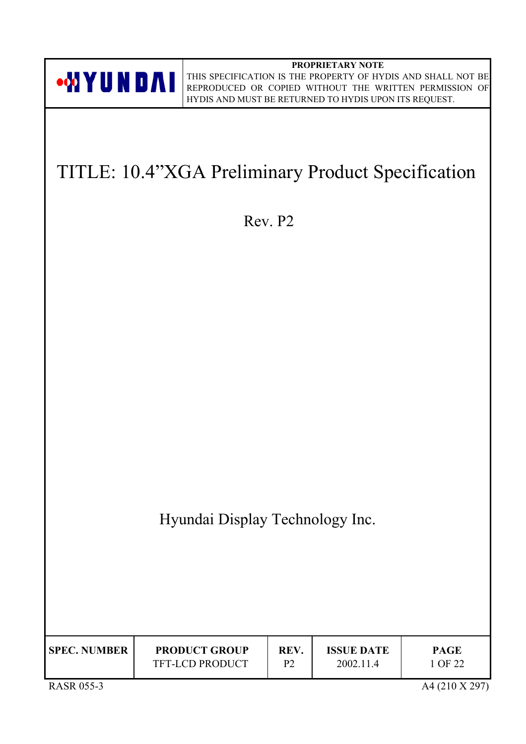**PROPRIETARY NOTE** THIS SPECIFICATION IS THE PROPERTY OF HYDIS AND SHALL NOT BE REPRODUCED OR COPIED WITHOUT THE WRITTEN PERMISSION OF HYDIS AND MUST BE RETURNED TO HYDIS UPON ITS REQUEST.

# TITLE: 10.4"XGA Preliminary Product Specification

Rev. P2

Hyundai Display Technology Inc.

| <b>SPEC. NUMBER</b> | <b>PRODUCT GROUP</b>   | REV. | <b>ISSUE DATE</b> | <b>PAGE</b> |
|---------------------|------------------------|------|-------------------|-------------|
|                     | <b>TFT-LCD PRODUCT</b> | D٦   | 2002.11.4         | 1 OF 22     |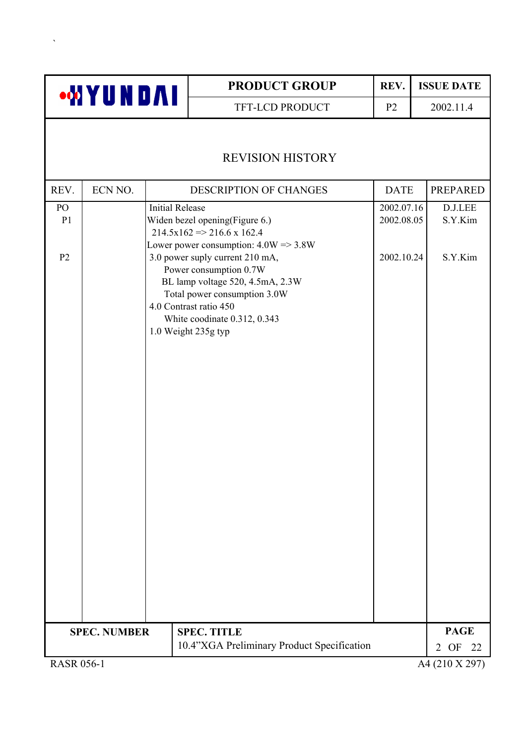|                                        | <b>WYUNDAI</b>      |                        | <b>PRODUCT GROUP</b>                                                                                                                                                                                                                                                                                                                | REV.                                   | <b>ISSUE DATE</b>             |
|----------------------------------------|---------------------|------------------------|-------------------------------------------------------------------------------------------------------------------------------------------------------------------------------------------------------------------------------------------------------------------------------------------------------------------------------------|----------------------------------------|-------------------------------|
|                                        |                     |                        | TFT-LCD PRODUCT                                                                                                                                                                                                                                                                                                                     | P <sub>2</sub>                         | 2002.11.4                     |
|                                        |                     |                        | <b>REVISION HISTORY</b>                                                                                                                                                                                                                                                                                                             |                                        |                               |
| REV.                                   | ECN NO.             |                        | DESCRIPTION OF CHANGES                                                                                                                                                                                                                                                                                                              | <b>DATE</b>                            | <b>PREPARED</b>               |
| PO<br>P <sub>1</sub><br>P <sub>2</sub> |                     | <b>Initial Release</b> | Widen bezel opening(Figure 6.)<br>$214.5x162 \Rightarrow 216.6x162.4$<br>Lower power consumption: $4.0W = > 3.8W$<br>3.0 power suply current 210 mA,<br>Power consumption 0.7W<br>BL lamp voltage 520, 4.5mA, 2.3W<br>Total power consumption 3.0W<br>4.0 Contrast ratio 450<br>White coodinate 0.312, 0.343<br>1.0 Weight 235g typ | 2002.07.16<br>2002.08.05<br>2002.10.24 | D.J.LEE<br>S.Y.Kim<br>S.Y.Kim |
|                                        |                     |                        |                                                                                                                                                                                                                                                                                                                                     |                                        |                               |
|                                        | <b>SPEC. NUMBER</b> |                        | <b>SPEC. TITLE</b><br>10.4"XGA Preliminary Product Specification                                                                                                                                                                                                                                                                    |                                        | <b>PAGE</b><br>22<br>2<br>OF  |
| <b>RASR 056-1</b>                      |                     |                        |                                                                                                                                                                                                                                                                                                                                     |                                        | A4 (210 X 297)                |

 $\Delta_{\rm{max}}$  and  $\Delta_{\rm{max}}$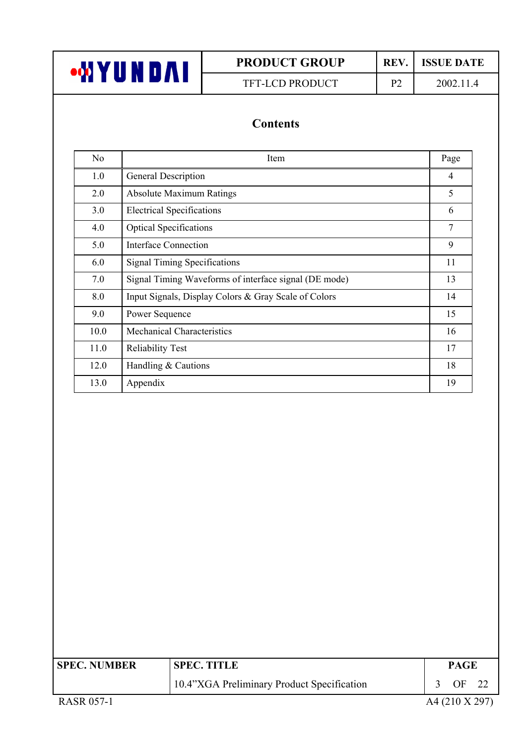

TFT-LCD PRODUCT P2 2002.11.4

# **Contents**

| N <sub>o</sub> | Item                                                  | Page           |
|----------------|-------------------------------------------------------|----------------|
| 1.0            | General Description                                   | $\overline{4}$ |
| 2.0            | <b>Absolute Maximum Ratings</b>                       | 5              |
| 3.0            | <b>Electrical Specifications</b>                      | 6              |
| 4.0            | <b>Optical Specifications</b>                         | 7              |
| 5.0            | Interface Connection                                  | 9              |
| 6.0            | <b>Signal Timing Specifications</b>                   | 11             |
| 7.0            | Signal Timing Waveforms of interface signal (DE mode) | 13             |
| 8.0            | Input Signals, Display Colors & Gray Scale of Colors  | 14             |
| 9.0            | Power Sequence                                        | 15             |
| 10.0           | <b>Mechanical Characteristics</b>                     | 16             |
| 11.0           | <b>Reliability Test</b>                               | 17             |
| 12.0           | Handling & Cautions                                   | 18             |
| 13.0           | Appendix                                              | 19             |

| <b>SPEC. NUMBER</b> | <b>SPEC. TITLE</b>                         | <b>PAGE</b> |                |
|---------------------|--------------------------------------------|-------------|----------------|
|                     | 10.4"XGA Preliminary Product Specification | OF.         |                |
| <b>RASR 057-1</b>   |                                            |             | A4 (210 X 297) |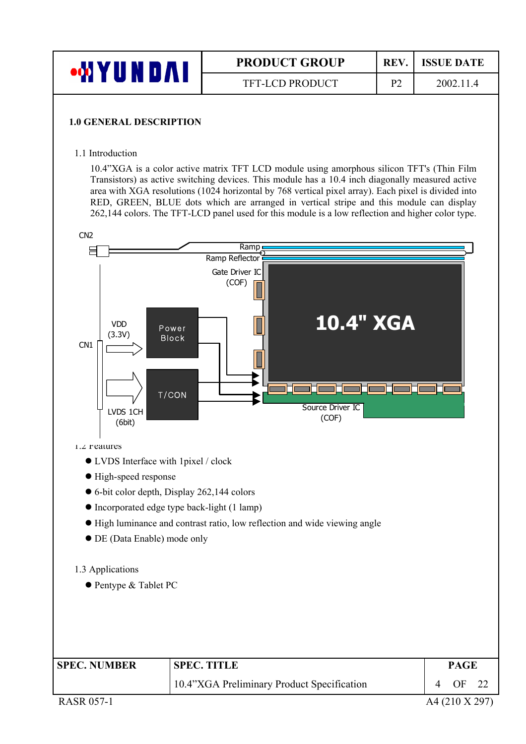| •MY<br>UNDAI | <b>PRODUCT GROUP</b>   | <b>REV</b> | <b>ISSUE DATE</b> |
|--------------|------------------------|------------|-------------------|
|              | <b>TFT-LCD PRODUCT</b> | ÞΩ         | 2002.11.4         |
|              |                        |            |                   |

#### **1.0 GENERAL DESCRIPTION**

1.1 Introduction

10.4"XGA is a color active matrix TFT LCD module using amorphous silicon TFT's (Thin Film Transistors) as active switching devices. This module has a 10.4 inch diagonally measured active area with XGA resolutions (1024 horizontal by 768 vertical pixel array). Each pixel is divided into RED, GREEN, BLUE dots which are arranged in vertical stripe and this module can display 262,144 colors. The TFT-LCD panel used for this module is a low reflection and higher color type.

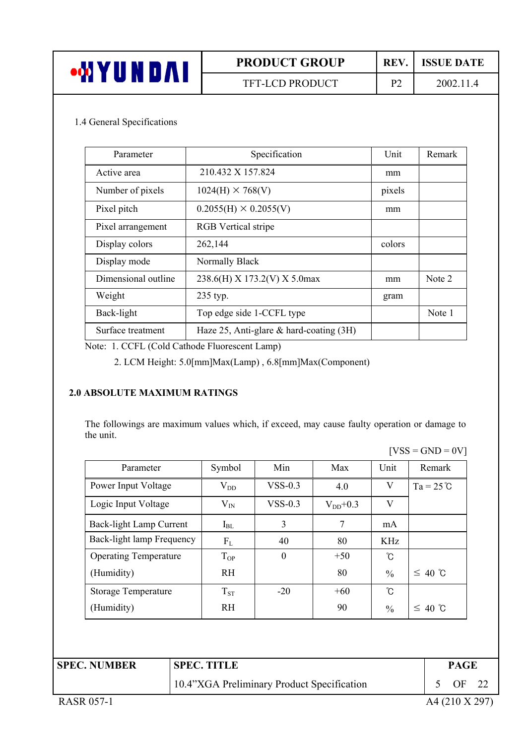| <b>TUND</b><br><b>ood</b> \ | <b>PRODUCT GROUP</b> | REV.                | <b>ISSUE DATE</b> |
|-----------------------------|----------------------|---------------------|-------------------|
|                             | TFT-LCD PRODUCT      | $\mathbf{D}^{\sim}$ | 2002.11.4         |

#### 1.4 General Specifications

| Parameter           | Specification                              | Unit   | Remark |
|---------------------|--------------------------------------------|--------|--------|
| Active area         | 210.432 X 157.824                          | mm     |        |
| Number of pixels    | $1024(H) \times 768(V)$                    | pixels |        |
| Pixel pitch         | $0.2055(H) \times 0.2055(V)$               | mm     |        |
| Pixel arrangement   | <b>RGB</b> Vertical stripe                 |        |        |
| Display colors      | 262,144                                    | colors |        |
| Display mode        | Normally Black                             |        |        |
| Dimensional outline | 238.6(H) X 173.2(V) X 5.0max               | mm     | Note 2 |
| Weight              | 235 typ.                                   | gram   |        |
| Back-light          | Top edge side 1-CCFL type                  |        | Note 1 |
| Surface treatment   | Haze 25, Anti-glare $\&$ hard-coating (3H) |        |        |

Note: 1. CCFL (Cold Cathode Fluorescent Lamp)

2. LCM Height: 5.0[mm]Max(Lamp) , 6.8[mm]Max(Component)

#### **2.0 ABSOLUTE MAXIMUM RATINGS**

The followings are maximum values which, if exceed, may cause faulty operation or damage to the unit.

 $[VSS = GND = 0V]$ 

| Parameter                    | Symbol       | Min       | Max          | Unit          | Remark             |
|------------------------------|--------------|-----------|--------------|---------------|--------------------|
| Power Input Voltage          | $\rm V_{DD}$ | $VSS-0.3$ | 4.0          | V             | $Ta = 25^{\circ}C$ |
| Logic Input Voltage          | $\rm V_{IN}$ | $VSS-0.3$ | $V_{DD}+0.3$ | V             |                    |
| Back-light Lamp Current      | $I_{BL}$     | 3         | 7            | mA            |                    |
| Back-light lamp Frequency    | $F_{L}$      | 40        | 80           | <b>KHz</b>    |                    |
| <b>Operating Temperature</b> | $T_{OP}$     | $\theta$  | $+50$        | °C            |                    |
| (Humidity)                   | <b>RH</b>    |           | 80           | $\frac{0}{0}$ | $\leq 40$ °C       |
| <b>Storage Temperature</b>   | $T_{ST}$     | $-20$     | $+60$        | °C            |                    |
| (Humidity)                   | <b>RH</b>    |           | 90           | $\frac{0}{0}$ | $\leq 40$ °C       |

| <b>SPEC. NUMBER</b> | <b>SPEC. TITLE</b>                         | PAGE             |
|---------------------|--------------------------------------------|------------------|
|                     | 10.4"XGA Preliminary Product Specification | OF <sub>22</sub> |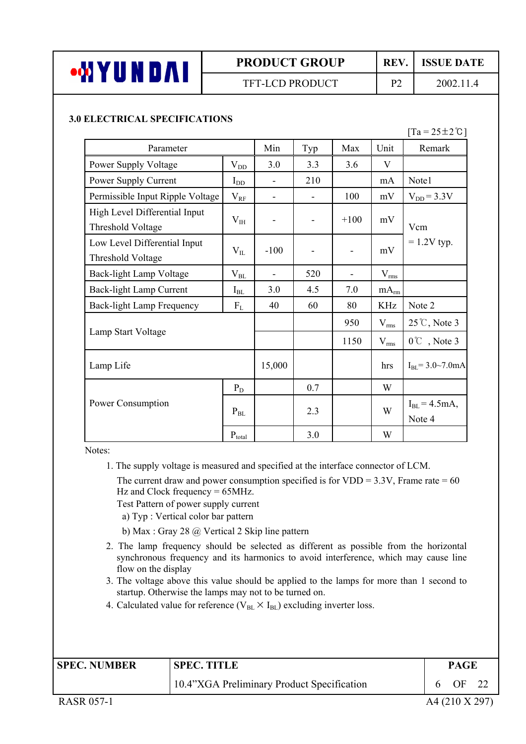

## TFT-LCD PRODUCT P2 2002.11.4

#### **3.0 ELECTRICAL SPECIFICATIONS**

#### $[Ta = 25 \pm 2^\circ \text{C}]$

| Parameter                                          |              | Min    | Typ | Max    | Unit             | Remark                      |
|----------------------------------------------------|--------------|--------|-----|--------|------------------|-----------------------------|
| Power Supply Voltage                               | $V_{DD}$     | 3.0    | 3.3 | 3.6    | V                |                             |
| Power Supply Current                               | $I_{DD}$     |        | 210 |        | mA               | Note1                       |
| Permissible Input Ripple Voltage                   | $\rm V_{RF}$ |        | ÷,  | 100    | mV               | $V_{DD} = 3.3V$             |
| High Level Differential Input<br>Threshold Voltage | $V_{IH}$     |        | -   | $+100$ | mV               | Vcm                         |
| Low Level Differential Input<br>Threshold Voltage  | $V_{IL}$     | $-100$ |     |        | mV               | $= 1.2V$ typ.               |
| Back-light Lamp Voltage                            | $\rm V_{BL}$ |        | 520 |        | $V_{rms}$        |                             |
| Back-light Lamp Current                            | $I_{BL}$     | 3.0    | 4.5 | 7.0    | mA <sub>rm</sub> |                             |
| <b>Back-light Lamp Frequency</b>                   | $F_{L}$      | 40     | 60  | 80     | <b>KHz</b>       | Note 2                      |
|                                                    |              |        |     | 950    | $V_{\rm rms}$    | $25^{\circ}$ C, Note 3      |
| Lamp Start Voltage                                 |              |        |     | 1150   | $V_{\rm rms}$    | $0^{\circ}$ , Note 3        |
| Lamp Life                                          |              | 15,000 |     |        | hrs              | $I_{BL} = 3.0 - 7.0$ mA     |
|                                                    | $P_D$        |        | 0.7 |        | W                |                             |
| Power Consumption                                  | $P_{BL}$     |        | 2.3 |        | W                | $I_{BL} = 4.5mA,$<br>Note 4 |
|                                                    | $P_{total}$  |        | 3.0 |        | W                |                             |

Notes:

1. The supply voltage is measured and specified at the interface connector of LCM.

The current draw and power consumption specified is for  $VDD = 3.3V$ , Frame rate = 60 Hz and Clock frequency = 65MHz.

Test Pattern of power supply current

a) Typ : Vertical color bar pattern

b) Max : Gray 28 @ Vertical 2 Skip line pattern

- 2. The lamp frequency should be selected as different as possible from the horizontal synchronous frequency and its harmonics to avoid interference, which may cause line flow on the display
- 3. The voltage above this value should be applied to the lamps for more than 1 second to startup. Otherwise the lamps may not to be turned on.
- 4. Calculated value for reference ( $V_{BL} \times I_{BL}$ ) excluding inverter loss.

| <b>SPEC. NUMBER</b> | <b>SPEC. TITLE</b>                         | <b>PAGE</b> |    |  |
|---------------------|--------------------------------------------|-------------|----|--|
|                     | 10.4"XGA Preliminary Product Specification |             | ΩE |  |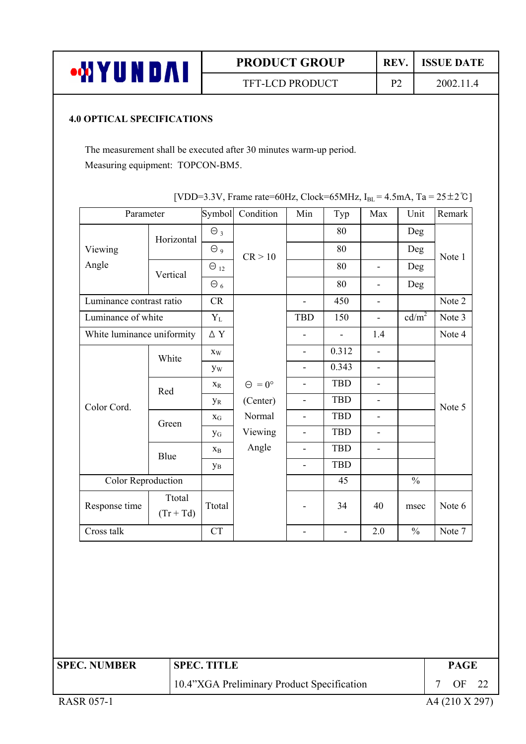

### TFT-LCD PRODUCT P2 2002.11.4

#### **4.0 OPTICAL SPECIFICATIONS**

The measurement shall be executed after 30 minutes warm-up period. Measuring equipment: TOPCON-BM5.

| Parameter                  |                       | Symbol                    | Condition            | Min                      | Typ            | Max                      | Unit              | Remark |
|----------------------------|-----------------------|---------------------------|----------------------|--------------------------|----------------|--------------------------|-------------------|--------|
|                            | Horizontal            | $\Theta_3$                |                      |                          | 80             |                          | Deg               | Note 1 |
| Viewing                    |                       | $\Theta$ 9                | CR > 10              |                          | 80             |                          | Deg               |        |
| Angle                      | Vertical              | $\Theta_{12}$             |                      |                          | 80             | $\blacksquare$           | Deg               |        |
|                            |                       | $\Theta_6$                |                      |                          | 80             | $\blacksquare$           | Deg               |        |
| Luminance contrast ratio   |                       | CR                        |                      | $\blacksquare$           | 450            | $\blacksquare$           |                   | Note 2 |
| Luminance of white         |                       | $Y_{\rm L}$               |                      | <b>TBD</b>               | 150            | $\blacksquare$           | cd/m <sup>2</sup> | Note 3 |
| White luminance uniformity |                       | $\Delta$ Y                |                      | $\overline{a}$           | $\frac{1}{2}$  | 1.4                      |                   | Note 4 |
|                            | White                 | $\mathbf{X}_\mathbf{W}$   |                      | $\blacksquare$           | 0.312          | $\overline{\phantom{a}}$ |                   |        |
| Color Cord.                |                       | <b>yw</b>                 |                      | $\blacksquare$           | 0.343          | $\blacksquare$           |                   |        |
|                            | Red                   | $\mathbf{X}_{\textrm{R}}$ | $\Theta = 0^{\circ}$ | L,                       | <b>TBD</b>     | L,                       |                   | Note 5 |
|                            |                       | $y_R$                     | (Center)             | $\blacksquare$           | <b>TBD</b>     | $\mathbb{L}$             |                   |        |
|                            | Green                 | $X_G$                     | Normal               | $\blacksquare$           | TBD            | $\blacksquare$           |                   |        |
|                            |                       | $\mathbf{y}_{\rm G}$      | Viewing              | $\blacksquare$           | <b>TBD</b>     | $\blacksquare$           |                   |        |
|                            | Blue                  | $\mathbf{X}_{\text{B}}$   | Angle                | $\overline{\phantom{a}}$ | <b>TBD</b>     | $\overline{\phantom{a}}$ |                   |        |
|                            |                       | $\mathbf{y}_\mathrm{B}$   |                      | ÷.                       | <b>TBD</b>     |                          |                   |        |
| Color Reproduction         |                       |                           |                      |                          | 45             |                          | $\frac{0}{0}$     |        |
| Response time              | Ttotal<br>$(Tr + Td)$ | Ttotal                    |                      |                          | 34             | 40                       | msec              | Note 6 |
| Cross talk                 |                       | CT                        |                      | $\blacksquare$           | $\blacksquare$ | 2.0                      | $\frac{0}{0}$     | Note 7 |
|                            |                       |                           |                      |                          |                |                          |                   |        |

|  | [VDD=3.3V, Frame rate=60Hz, Clock=65MHz, $I_{BL}$ =4.5mA, Ta = 25 ± 2°C] |
|--|--------------------------------------------------------------------------|
|--|--------------------------------------------------------------------------|

**SPEC. NUMBER SPEC. TITLE PAGE** 

10.4"XGA Preliminary Product Specification 7 OF 22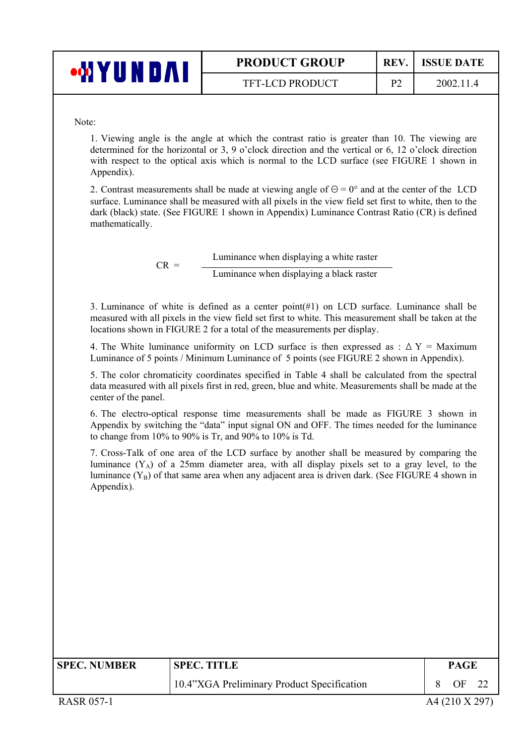| Ш<br>o pro | <b>PRODUCT GROUP</b>   | REV.                     | <b>ISSUE DATE</b> |
|------------|------------------------|--------------------------|-------------------|
|            | <b>TFT-LCD PRODUCT</b> | $\overline{\phantom{0}}$ | 2002.11.4         |

Note:

1. Viewing angle is the angle at which the contrast ratio is greater than 10. The viewing are determined for the horizontal or 3, 9 o'clock direction and the vertical or 6, 12 o'clock direction with respect to the optical axis which is normal to the LCD surface (see FIGURE 1 shown in Appendix).

2. Contrast measurements shall be made at viewing angle of  $\Theta = 0^{\circ}$  and at the center of the LCD surface. Luminance shall be measured with all pixels in the view field set first to white, then to the dark (black) state. (See FIGURE 1 shown in Appendix) Luminance Contrast Ratio (CR) is defined mathematically.

> $CR =$  Luminance when displaying a white raster Luminance when displaying a black raster

3. Luminance of white is defined as a center point(#1) on LCD surface. Luminance shall be measured with all pixels in the view field set first to white. This measurement shall be taken at the locations shown in FIGURE 2 for a total of the measurements per display.

4. The White luminance uniformity on LCD surface is then expressed as :  $\Delta Y =$  Maximum Luminance of 5 points / Minimum Luminance of 5 points (see FIGURE 2 shown in Appendix).

5. The color chromaticity coordinates specified in Table 4 shall be calculated from the spectral data measured with all pixels first in red, green, blue and white. Measurements shall be made at the center of the panel.

6. The electro-optical response time measurements shall be made as FIGURE 3 shown in Appendix by switching the "data" input signal ON and OFF. The times needed for the luminance to change from 10% to 90% is Tr, and 90% to 10% is Td.

7. Cross-Talk of one area of the LCD surface by another shall be measured by comparing the luminance  $(Y_A)$  of a 25mm diameter area, with all display pixels set to a gray level, to the luminance  $(Y_B)$  of that same area when any adjacent area is driven dark. (See FIGURE 4 shown in Appendix).

| <b>SPEC. NUMBER</b> | <b>SPEC. TITLE</b>                         | <b>PAGE</b> |  |
|---------------------|--------------------------------------------|-------------|--|
|                     | 10.4"XGA Preliminary Product Specification | OF.         |  |
|                     |                                            |             |  |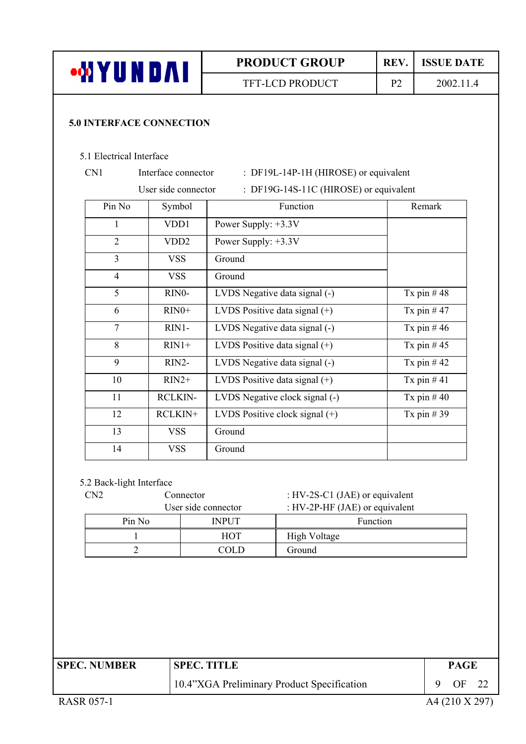| <b>MYUNDAI</b>                  |                     |                                 | <b>PRODUCT GROUP</b>                                             | REV.           | <b>ISSUE DATE</b> |
|---------------------------------|---------------------|---------------------------------|------------------------------------------------------------------|----------------|-------------------|
|                                 |                     |                                 | <b>TFT-LCD PRODUCT</b>                                           | P <sub>2</sub> | 2002.11.4         |
| <b>5.0 INTERFACE CONNECTION</b> |                     |                                 |                                                                  |                |                   |
| 5.1 Electrical Interface        |                     |                                 |                                                                  |                |                   |
| CN1                             | Interface connector |                                 | : DF19L-14P-1H (HIROSE) or equivalent                            |                |                   |
|                                 | User side connector |                                 | : DF19G-14S-11C (HIROSE) or equivalent                           |                |                   |
| Pin No                          | Symbol              |                                 | Function                                                         |                | Remark            |
| 1                               | VDD1                | Power Supply: +3.3V             |                                                                  |                |                   |
| $\overline{2}$                  | VDD <sub>2</sub>    | Power Supply: $+3.3V$           |                                                                  |                |                   |
| $\overline{3}$                  | <b>VSS</b>          | Ground                          |                                                                  |                |                   |
| $\overline{4}$                  | <b>VSS</b>          | Ground                          |                                                                  |                |                   |
| 5                               | RIN0-               | LVDS Negative data signal (-)   |                                                                  |                | Tx pin $#48$      |
| 6                               | $RIN0+$             | LVDS Positive data signal (+)   |                                                                  |                | Tx pin $#47$      |
| $\overline{7}$                  | RIN1-               | LVDS Negative data signal (-)   |                                                                  |                | Tx pin $#46$      |
| 8                               | $RIN1+$             | LVDS Positive data signal $(+)$ |                                                                  |                | Tx pin $#45$      |
| 9                               | RIN2-               | LVDS Negative data signal (-)   |                                                                  |                | Tx pin $#42$      |
| 10                              | $RIN2+$             | LVDS Positive data signal $(+)$ |                                                                  |                | Tx pin $#41$      |
| 11                              | <b>RCLKIN-</b>      |                                 | LVDS Negative clock signal (-)                                   |                | Tx pin $#40$      |
| 12                              | RCLKIN+             |                                 | LVDS Positive clock signal $(+)$                                 |                | Tx pin $#39$      |
| 13                              | <b>VSS</b>          | Ground                          |                                                                  |                |                   |
| 14                              | VSS                 | Ground                          |                                                                  |                |                   |
|                                 |                     |                                 |                                                                  |                |                   |
| 5.2 Back-light Interface        |                     |                                 |                                                                  |                |                   |
| CN2                             | Connector           | User side connector             | : HV-2S-C1 (JAE) or equivalent<br>: HV-2P-HF (JAE) or equivalent |                |                   |
| Pin No                          |                     | <b>INPUT</b>                    |                                                                  | Function       |                   |
| 1                               |                     | <b>HOT</b>                      | <b>High Voltage</b>                                              |                |                   |
| $\overline{2}$                  |                     | <b>COLD</b>                     | Ground                                                           |                |                   |

| <b>SPEC. NUMBER</b> | <b>SPEC. TITLE</b>                         | <b>PAGE</b>    |  |
|---------------------|--------------------------------------------|----------------|--|
|                     | 10.4"XGA Preliminary Product Specification | OF 22          |  |
| <b>RASR 057-1</b>   |                                            | A4 (210 X 297) |  |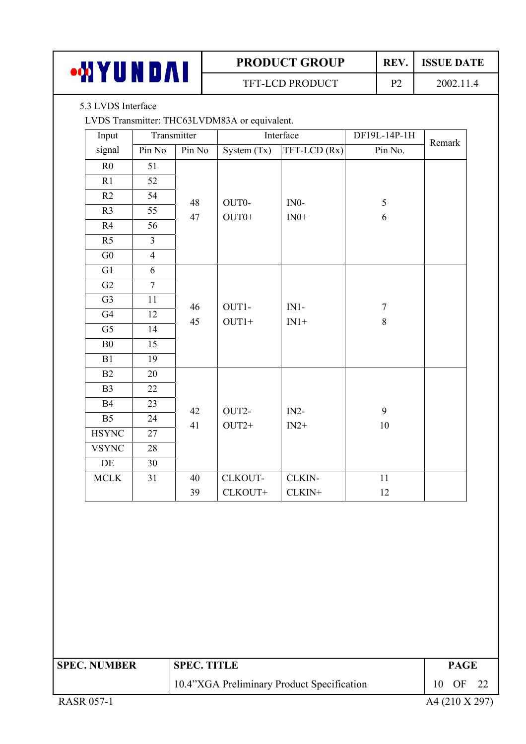| $\mathbf{u}$ | <b>PRODUCT GROUP</b>   |            | <b>ISSUE DATE</b> |
|--------------|------------------------|------------|-------------------|
| .<br>1 A     | <b>TFT-LCD PRODUCT</b> | $D^{\sim}$ | 2002.11           |

5.3 LVDS Interface

LVDS Transmitter: THC63LVDM83A or equivalent.

| Input          |                | Transmitter |               | Interface    | DF19L-14P-1H   | Remark |
|----------------|----------------|-------------|---------------|--------------|----------------|--------|
| signal         | Pin No         | Pin No      | System $(Tx)$ | TFT-LCD (Rx) | Pin No.        |        |
| R <sub>0</sub> | 51             |             |               |              |                |        |
| R1             | 52             |             |               |              |                |        |
| R2             | 54             | 48          | OUT0-         | $IN0-$       | $\mathfrak{S}$ |        |
| R <sub>3</sub> | 55             | 47          | $OUT0+$       | $IN0+$       | $\sqrt{6}$     |        |
| R4             | 56             |             |               |              |                |        |
| R <sub>5</sub> | $\overline{3}$ |             |               |              |                |        |
| ${\rm G0}$     | $\overline{4}$ |             |               |              |                |        |
| G1             | 6              |             |               |              |                |        |
| G2             | $\overline{7}$ |             |               |              |                |        |
| G <sub>3</sub> | 11             | 46          | OUT1-         | $IN1-$       | $\overline{7}$ |        |
| G4             | 12             | 45          | $OUT1+$       | $IN1+$       | $\,8\,$        |        |
| G <sub>5</sub> | 14             |             |               |              |                |        |
| B <sub>0</sub> | 15             |             |               |              |                |        |
| B1             | 19             |             |               |              |                |        |
| B2             | 20             |             |               |              |                |        |
| B <sub>3</sub> | 22             |             |               |              |                |        |
| <b>B4</b>      | 23             | 42          | OUT2-         | $IN2-$       | 9              |        |
| B <sub>5</sub> | 24             | 41          | $OUT2+$       | $IN2+$       | $10\,$         |        |
| <b>HSYNC</b>   | 27             |             |               |              |                |        |
| <b>VSYNC</b>   | 28             |             |               |              |                |        |
| DE             | 30             |             |               |              |                |        |
| $\sf MCLK$     | 31             | 40          | CLKOUT-       | CLKIN-       | 11             |        |
|                |                | 39          | CLKOUT+       | CLKIN+       | 12             |        |

| <b>SPEC. NUMBER</b> | <b>SPEC. TITLE</b>                         |    | <b>PAGE</b> |                |  |
|---------------------|--------------------------------------------|----|-------------|----------------|--|
|                     | 10.4"XGA Preliminary Product Specification | 10 | OF          | 22             |  |
| <b>RASR 057-1</b>   |                                            |    |             | A4 (210 X 297) |  |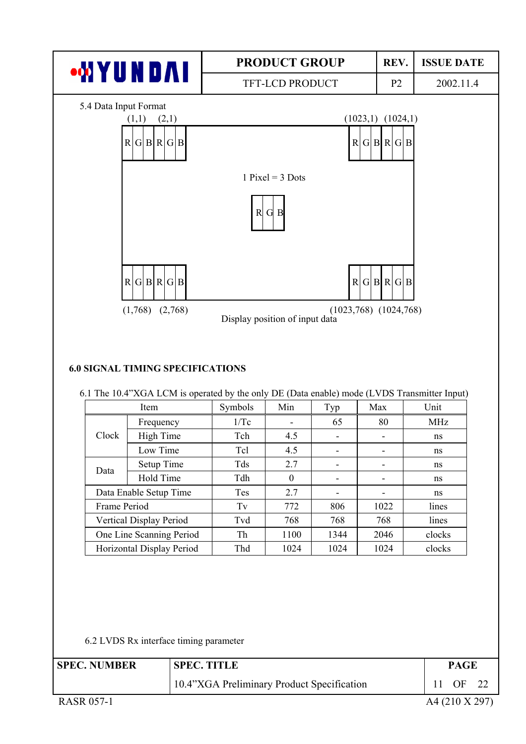

#### **6.0 SIGNAL TIMING SPECIFICATIONS**

| 6.1 The 10.4"XGA LCM is operated by the only DE (Data enable) mode (LVDS Transmitter Input) |  |  |
|---------------------------------------------------------------------------------------------|--|--|
|                                                                                             |  |  |

|              | <b>Item</b>                    | Symbols    | Min      | Typ  | Max  | Unit       |
|--------------|--------------------------------|------------|----------|------|------|------------|
|              | Frequency                      | 1/Tc       |          | 65   | 80   | <b>MHz</b> |
| Clock        | High Time                      | Tch        | 4.5      |      |      | ns         |
|              | Low Time                       | Tcl        | 4.5      | ٠    | -    | ns         |
| Data         | Setup Time                     | <b>Tds</b> | 2.7      |      |      | ns         |
|              | Hold Time                      | Tdh        | $\theta$ |      |      | ns         |
|              | Data Enable Setup Time         | <b>Tes</b> | 2.7      | ۰    | -    | ns         |
| Frame Period |                                | Tv         | 772      | 806  | 1022 | lines      |
|              | <b>Vertical Display Period</b> | Tvd        | 768      | 768  | 768  | lines      |
|              | One Line Scanning Period       | Th         | 1100     | 1344 | 2046 | clocks     |
|              | Horizontal Display Period      | Thd        | 1024     | 1024 | 1024 | clocks     |

6.2 LVDS Rx interface timing parameter

| <b>SPEC. NUMBER</b> | <b>SPEC. TITLE</b>                         | <b>PAGE</b>    |    |
|---------------------|--------------------------------------------|----------------|----|
|                     | 10.4"XGA Preliminary Product Specification | OF             | 22 |
| <b>RASR 057-1</b>   |                                            | A4 (210 X 297) |    |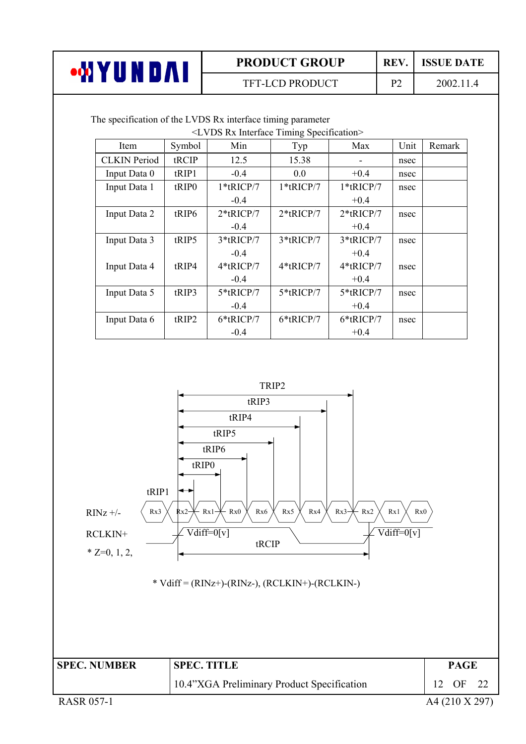| <b>PRODUCT GROUP</b>   | <b>REV</b> | <b>ISSUE DATE</b> |
|------------------------|------------|-------------------|
| <b>TFT-LCD PRODUCT</b> | D^         | 2002.11.4         |

The specification of the LVDS Rx interface timing parameter

| <lvds interface="" rx="" specification="" timing=""></lvds> |                   |              |              |              |      |        |  |  |  |
|-------------------------------------------------------------|-------------------|--------------|--------------|--------------|------|--------|--|--|--|
| Item                                                        | Symbol            | Min          | Typ          | Max          | Unit | Remark |  |  |  |
| <b>CLKIN</b> Period                                         | tRCIP             | 12.5         | 15.38        |              | nsec |        |  |  |  |
| Input Data 0                                                | tRIP1             | $-0.4$       | 0.0          | $+0.4$       | nsec |        |  |  |  |
| Input Data 1                                                | tRIP <sub>0</sub> | $1*$ tRICP/7 | $1*$ tRICP/7 | $1*$ tRICP/7 | nsec |        |  |  |  |
|                                                             |                   | $-0.4$       |              | $+0.4$       |      |        |  |  |  |
| Input Data 2                                                | tRIP6             | $2*$ tRICP/7 | $2*$ tRICP/7 | $2*$ tRICP/7 | nsec |        |  |  |  |
|                                                             |                   | $-0.4$       |              | $+0.4$       |      |        |  |  |  |
| Input Data 3                                                | tRIP5             | 3*tRICP/7    | 3*tRICP/7    | $3*$ tRICP/7 | nsec |        |  |  |  |
|                                                             |                   | $-0.4$       |              | $+0.4$       |      |        |  |  |  |
| Input Data 4                                                | tRIP4             | $4*$ tRICP/7 | $4*$ tRICP/7 | $4*$ tRICP/7 | nsec |        |  |  |  |
|                                                             |                   | $-0.4$       |              | $+0.4$       |      |        |  |  |  |
| Input Data 5                                                | tRIP3             | 5*tRICP/7    | 5*tRICP/7    | 5*tRICP/7    | nsec |        |  |  |  |
|                                                             |                   | $-0.4$       |              | $+0.4$       |      |        |  |  |  |
| Input Data 6                                                | tRIP2             | 6*tRICP/7    | 6*tRICP/7    | 6*tRICP/7    | nsec |        |  |  |  |
|                                                             |                   | $-0.4$       |              | $+0.4$       |      |        |  |  |  |

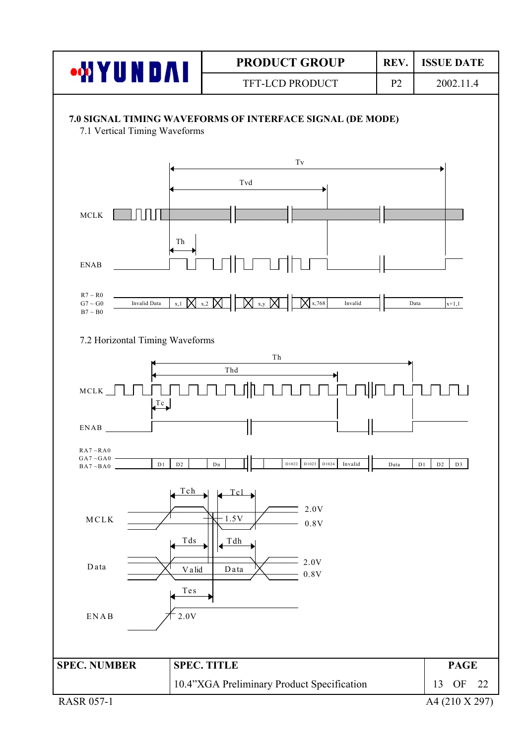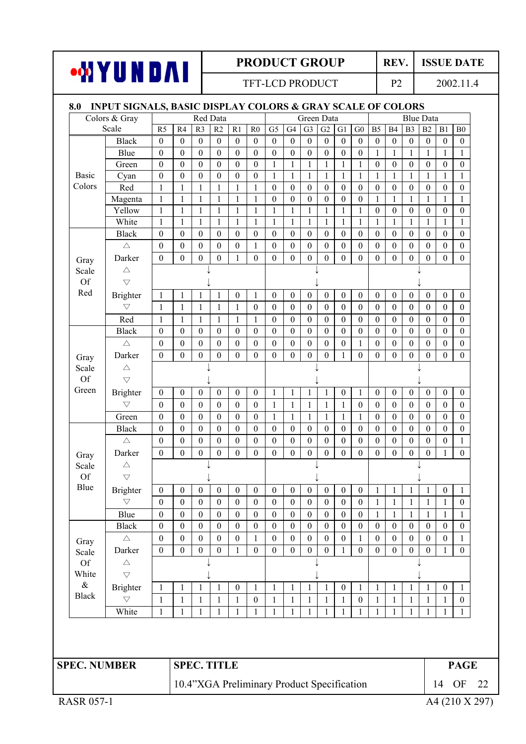#### **WYUNDAI** TFT-LCD PRODUCT P2 2002.11.4 **8.0 INPUT SIGNALS, BASIC DISPLAY COLORS & GRAY SCALE OF COLORS**  Colors & Gray Red Data Green Data Blue Data Scale R5 R4 R3 R2 R1 R0 G5 G4 G3 G2 G1 G0 B5 B4 B3 B2 B1 B0 Black 0 0 0 0 0 0 0 0 0 0 0 0 0 0 0 0 0 0 Blue 0 0 0 0 0 0 0 0 0 0 0 0 1 1 1 1 1 1 Green 0 0 0 0 0 0 1 1 1 1 1 1 0 0 0 0 0 0 Basic Cyan 0 0 0 0 0 0 1 1 1 1 1 1 1 1 1 1 1 1 Colors Red 1 1 1 1 1 1 0 0 0 0 0 0 0 0 0 0 0 0 Magenta 1 1 1 1 1 1 0 0 0 0 0 0 1 1 1 1 1 1 Yellow 1 1 1 1 1 1 1 1 1 1 1 1 0 0 0 0 0 0 White 1 1 1 1 1 1 1 1 1 1 1 1 1 1 1 1 1 1 Black 0 0 0 0 0 0 0 0 0 0 0 0 0 0 0 0 0 0 చ 0 0 0 0 0 1 0 0 0 0 0 0 0 0 0 0 0 0 Darker 0 0 0 0 1 0 0 0 0 0 0 0 0 0 0 0 0 0 Gray Scale Of Red

| $\triangle$<br>Scale<br><b>Of</b><br>$\bigtriangledown$<br>Red<br>$\boldsymbol{0}$<br>$\boldsymbol{0}$<br>$\boldsymbol{0}$<br>$\boldsymbol{0}$<br>$\boldsymbol{0}$<br>$\mathbf{1}$<br>$\boldsymbol{0}$<br>$\boldsymbol{0}$<br>$\mathbf{0}$<br>$\boldsymbol{0}$<br>$\boldsymbol{0}$<br>$\boldsymbol{0}$<br>$\boldsymbol{0}$<br><b>Brighter</b><br>$\mathbf{1}$<br>1<br>$\mathbf{1}$<br>$\mathbf{1}$<br>$\bigtriangledown$<br>$\boldsymbol{0}$<br>$\boldsymbol{0}$<br>$\boldsymbol{0}$<br>$\boldsymbol{0}$<br>$\boldsymbol{0}$<br>$\boldsymbol{0}$<br>$\boldsymbol{0}$<br>$\boldsymbol{0}$<br>$\boldsymbol{0}$<br>$\overline{0}$<br>$\mathbf{1}$<br>1<br>$\boldsymbol{0}$<br>$\boldsymbol{0}$<br>1<br>1<br>1<br>Red<br>$\mathbf{1}$<br>$\mathbf{1}$<br>$\mathbf{1}$<br>$\mathbf{1}$<br>$\boldsymbol{0}$<br>$\boldsymbol{0}$<br>$\boldsymbol{0}$<br>$\boldsymbol{0}$<br>$\boldsymbol{0}$<br>$\boldsymbol{0}$<br>$\boldsymbol{0}$<br>$\boldsymbol{0}$<br>$\boldsymbol{0}$<br>$\boldsymbol{0}$<br>$\boldsymbol{0}$<br>$\mathbf{1}$<br>$\mathbf{1}$<br>$\boldsymbol{0}$<br><b>Black</b><br>$\boldsymbol{0}$<br>$\boldsymbol{0}$<br>$\boldsymbol{0}$<br>$\boldsymbol{0}$<br>$\boldsymbol{0}$<br>$\boldsymbol{0}$<br>$\boldsymbol{0}$<br>$\boldsymbol{0}$<br>$\boldsymbol{0}$<br>$\boldsymbol{0}$<br>$\boldsymbol{0}$<br>$\boldsymbol{0}$<br>$\boldsymbol{0}$<br>$\boldsymbol{0}$<br>$\boldsymbol{0}$<br>$\mathbf{0}$<br>$\boldsymbol{0}$<br>$\boldsymbol{0}$<br>$\boldsymbol{0}$<br>$\boldsymbol{0}$<br>$\boldsymbol{0}$<br>$\boldsymbol{0}$<br>$\boldsymbol{0}$<br>$\boldsymbol{0}$<br>$\boldsymbol{0}$<br>$\boldsymbol{0}$<br>$\boldsymbol{0}$<br>$\mathbf{0}$<br>$\boldsymbol{0}$<br>$\boldsymbol{0}$<br>$\mathbf{1}$<br>$\boldsymbol{0}$<br>$\boldsymbol{0}$<br>$\triangle$<br>$\boldsymbol{0}$<br>$\overline{0}$<br>$\boldsymbol{0}$<br>$\boldsymbol{0}$<br>$\mathbf{0}$<br>Darker<br>$\boldsymbol{0}$<br>$\boldsymbol{0}$<br>$\boldsymbol{0}$<br>$\boldsymbol{0}$<br>$\boldsymbol{0}$<br>$\mathbf{1}$<br>$\boldsymbol{0}$<br>$\boldsymbol{0}$<br>$\boldsymbol{0}$<br>$\boldsymbol{0}$<br>$\overline{0}$<br>$\boldsymbol{0}$<br>Gray<br>Scale<br>$\triangle$<br><b>Of</b><br>$\bigtriangledown$<br>Green<br>$\mathbf{1}$<br>$\boldsymbol{0}$<br>$\mathbf{0}$<br>$\boldsymbol{0}$<br>$\mathbf{1}$<br>$\mathbf{0}$<br>$\mathbf{0}$<br>$\boldsymbol{0}$<br>Brighter<br>$\boldsymbol{0}$<br>$\mathbf{0}$<br>$\mathbf{0}$<br>$\boldsymbol{0}$<br>$\mathbf{1}$<br>$\mathbf{1}$<br>1<br>$\boldsymbol{0}$<br>$\boldsymbol{0}$<br>$\bigtriangledown$<br>$\boldsymbol{0}$<br>$\boldsymbol{0}$<br>$\overline{0}$<br>$\mathbf{0}$<br>$\mathbf{0}$<br>$\boldsymbol{0}$<br>$\boldsymbol{0}$<br>$\mathbf{1}$<br>$\mathbf{1}$<br>$\boldsymbol{0}$<br>$\boldsymbol{0}$<br>$\boldsymbol{0}$<br>$\mathbf{0}$<br>$\mathbf{0}$<br>1<br>1<br>1<br>$\boldsymbol{0}$<br>$\mathbf{0}$<br>$\boldsymbol{0}$<br>$\mathbf{0}$<br>$\boldsymbol{0}$<br>$\mathbf{0}$<br>$\mathbf{1}$<br>$\mathbf{1}$<br>$\mathbf{1}$<br>$\mathbf{1}$<br>$\mathbf{0}$<br>$\overline{0}$<br>$\boldsymbol{0}$<br>$\mathbf{0}$<br>$\boldsymbol{0}$<br>$\mathbf{1}$<br>$\mathbf{1}$<br>Green<br>$\boldsymbol{0}$<br><b>Black</b><br>$\boldsymbol{0}$<br>$\boldsymbol{0}$<br>$\boldsymbol{0}$<br>$\boldsymbol{0}$<br>$\boldsymbol{0}$<br>$\boldsymbol{0}$<br>$\boldsymbol{0}$<br>$\boldsymbol{0}$<br>$\boldsymbol{0}$<br>$\boldsymbol{0}$<br>$\boldsymbol{0}$<br>$\boldsymbol{0}$<br>$\boldsymbol{0}$<br>$\mathbf{0}$<br>$\boldsymbol{0}$<br>$\boldsymbol{0}$<br>$\boldsymbol{0}$<br>$\mathbf{0}$<br>$\mathbf{0}$<br>$\boldsymbol{0}$<br>$\mathbf{0}$<br>$\boldsymbol{0}$<br>$\mathbf{0}$<br>$\boldsymbol{0}$<br>$\mathbf{0}$<br>$\mathbf{0}$<br>$\mathbf{0}$<br>$\boldsymbol{0}$<br>$\boldsymbol{0}$<br>$\mathbf{0}$<br>$\mathbf{0}$<br>$\boldsymbol{0}$<br>$\boldsymbol{0}$<br>$\triangle$<br>Darker<br>$\boldsymbol{0}$<br>$\boldsymbol{0}$<br>$\boldsymbol{0}$<br>$\boldsymbol{0}$<br>$\boldsymbol{0}$<br>$\boldsymbol{0}$<br>$\boldsymbol{0}$<br>$\boldsymbol{0}$<br>$\boldsymbol{0}$<br>$\boldsymbol{0}$<br>$\boldsymbol{0}$<br>$\boldsymbol{0}$<br>$\boldsymbol{0}$<br>$\boldsymbol{0}$<br>$\boldsymbol{0}$<br>$\boldsymbol{0}$<br>$\mathbf{1}$<br>Gray<br>Scale<br>$\triangle$<br>Of<br>$\bigtriangledown$<br>Blue<br>$\boldsymbol{0}$<br>$\boldsymbol{0}$<br>$\boldsymbol{0}$<br>$\boldsymbol{0}$<br>$\boldsymbol{0}$<br>$\boldsymbol{0}$<br>$\boldsymbol{0}$<br>$\boldsymbol{0}$<br>$\boldsymbol{0}$<br>$\boldsymbol{0}$<br>$\boldsymbol{0}$<br>$\mathbf{1}$<br>$\mathbf{1}$<br><b>Brighter</b><br>$\boldsymbol{0}$<br>$\mathbf{1}$<br>$\mathbf{1}$<br>$\boldsymbol{0}$<br>$\bigtriangledown$<br>$\boldsymbol{0}$<br>$\boldsymbol{0}$<br>$\boldsymbol{0}$<br>$\boldsymbol{0}$<br>$\boldsymbol{0}$<br>$\boldsymbol{0}$<br>$\boldsymbol{0}$<br>$\boldsymbol{0}$<br>$\boldsymbol{0}$<br>$\mathbf{0}$<br>$\boldsymbol{0}$<br>$\boldsymbol{0}$<br>$\mathbf{1}$<br>$\mathbf{1}$<br>$\mathbf{1}$<br>$\mathbf{1}$<br>$\mathbf{1}$<br>Blue<br>$\boldsymbol{0}$<br>$\boldsymbol{0}$<br>$\boldsymbol{0}$<br>$\boldsymbol{0}$<br>$\boldsymbol{0}$<br>$\boldsymbol{0}$<br>$\boldsymbol{0}$<br>$\boldsymbol{0}$<br>$\boldsymbol{0}$<br>$\mathbf{0}$<br>$\boldsymbol{0}$<br>$\boldsymbol{0}$<br>$\mathbf{1}$<br>$\mathbf{1}$<br>$\mathbf{1}$<br>$\mathbf{1}$<br>$\mathbf{1}$<br>$\boldsymbol{0}$<br>$\boldsymbol{0}$<br>$\boldsymbol{0}$<br>$\boldsymbol{0}$<br>$\boldsymbol{0}$<br><b>Black</b><br>$\boldsymbol{0}$<br>$\boldsymbol{0}$<br>$\boldsymbol{0}$<br>$\boldsymbol{0}$<br>$\boldsymbol{0}$<br>$\boldsymbol{0}$<br>$\mathbf{0}$<br>$\boldsymbol{0}$<br>$\boldsymbol{0}$<br>$\boldsymbol{0}$<br>$\boldsymbol{0}$<br>$\mathbf{0}$<br>$\boldsymbol{0}$<br>$\boldsymbol{0}$<br>$\boldsymbol{0}$<br>$\boldsymbol{0}$<br>$\mathbf{0}$<br>$\boldsymbol{0}$<br>$\boldsymbol{0}$<br>$\boldsymbol{0}$<br>$\boldsymbol{0}$<br>$\boldsymbol{0}$<br>$\boldsymbol{0}$<br>$\boldsymbol{0}$<br>$\boldsymbol{0}$<br>$\mathbf{1}$<br>$\boldsymbol{0}$<br>$\mathbf{1}$<br>$\boldsymbol{0}$<br>$\triangle$<br>Gray<br>$\boldsymbol{0}$<br>$\mathbf{0}$<br>$\boldsymbol{0}$<br>$\boldsymbol{0}$<br>$\mathbf{0}$<br>$\boldsymbol{0}$<br>$\mathbf{1}$<br>$\mathbf{0}$<br>$\boldsymbol{0}$<br>$\boldsymbol{0}$<br>$\boldsymbol{0}$<br>$\boldsymbol{0}$<br>$\mathbf{0}$<br>$\boldsymbol{0}$<br>1<br>Darker<br>$\boldsymbol{0}$<br>$\mathbf{1}$<br>Scale<br>Of<br>$\triangle$<br>White<br>$\bigtriangledown$<br>$\&$<br>$\mathbf{1}$<br>$\mathbf{1}$<br>$\mathbf{1}$<br>$\boldsymbol{0}$<br>$\mathbf{1}$<br>$\mathbf{1}$<br>$\boldsymbol{0}$<br>$\mathbf{1}$<br>$\mathbf{1}$<br>$\mathbf{1}$<br>$\boldsymbol{0}$<br><b>Brighter</b><br>$\mathbf{1}$<br>1<br>$\mathbf{1}$<br>1<br>$\mathbf{1}$<br>$\mathbf{1}$<br><b>Black</b><br>$\bigtriangledown$<br>$\mathbf{1}$<br>$\mathbf{1}$<br>$\mathbf{1}$<br>$\boldsymbol{0}$<br>$\mathbf{1}$<br>$\mathbf{1}$<br>$\mathbf{1}$<br>$\boldsymbol{0}$<br>$\mathbf{1}$<br>$\mathbf{1}$<br>$\mathbf{1}$<br>$\mathbf{1}$<br>$\mathbf{1}$<br>1<br>1<br>1<br>1<br>White<br>$\mathbf{1}$<br>$\mathbf{1}$<br>1<br>1<br>1<br>1<br>1<br>1<br>1<br>$\mathbf{1}$<br>$\mathbf{1}$<br>$\mathbf{1}$<br>1<br>1<br>1<br>1<br>1 | Gray | Daikei | v | v | v | v | $\perp$ | v | v | v | v | v | v | v | v | v | v | v | v | v                |
|------------------------------------------------------------------------------------------------------------------------------------------------------------------------------------------------------------------------------------------------------------------------------------------------------------------------------------------------------------------------------------------------------------------------------------------------------------------------------------------------------------------------------------------------------------------------------------------------------------------------------------------------------------------------------------------------------------------------------------------------------------------------------------------------------------------------------------------------------------------------------------------------------------------------------------------------------------------------------------------------------------------------------------------------------------------------------------------------------------------------------------------------------------------------------------------------------------------------------------------------------------------------------------------------------------------------------------------------------------------------------------------------------------------------------------------------------------------------------------------------------------------------------------------------------------------------------------------------------------------------------------------------------------------------------------------------------------------------------------------------------------------------------------------------------------------------------------------------------------------------------------------------------------------------------------------------------------------------------------------------------------------------------------------------------------------------------------------------------------------------------------------------------------------------------------------------------------------------------------------------------------------------------------------------------------------------------------------------------------------------------------------------------------------------------------------------------------------------------------------------------------------------------------------------------------------------------------------------------------------------------------------------------------------------------------------------------------------------------------------------------------------------------------------------------------------------------------------------------------------------------------------------------------------------------------------------------------------------------------------------------------------------------------------------------------------------------------------------------------------------------------------------------------------------------------------------------------------------------------------------------------------------------------------------------------------------------------------------------------------------------------------------------------------------------------------------------------------------------------------------------------------------------------------------------------------------------------------------------------------------------------------------------------------------------------------------------------------------------------------------------------------------------------------------------------------------------------------------------------------------------------------------------------------------------------------------------------------------------------------------------------------------------------------------------------------------------------------------------------------------------------------------------------------------------------------------------------------------------------------------------------------------------------------------------------------------------------------------------------------------------------------------------------------------------------------------------------------------------------------------------------------------------------------------------------------------------------------------------------------------------------------------------------------------------------------------------------------------------------------------------------------------------------------------------------------------------------------------------------------------------------------------------------------------------------------------------------------------------------------------------------------------------------------------------------------------------------------------------------------------------------------------------------------------------------------------------------------------------------------------------------------------------------------------------------------------------------------------------------------------------------------------------------------------------------------------------------------------------------------------------------------------------------------------------------------------------------------------------------------------------------------------------------------------------------------------------------------------------------------------------------------------------------------------------------------------------------------------------------------------------------------------------------------------------------------------------------------------------------------------------------------------------------------------------------------------------------------------------------------------------------------------------------------------------------------------------------------------------------------------------------------------------------------------------------------------------------------------------------------------------------------------------------------------------------------------------------------------------------------------------------------------------------------------------------------------------------------------------------------------------------------------------------------------------------------------------------------------------------------------------------------------------------------------------------------------------------------------------------------------------------------------------------------------------------------------------------------------------------------------------------------------------------------------------------------------------------------------------------------------------------------------------------------------|------|--------|---|---|---|---|---------|---|---|---|---|---|---|---|---|---|---|---|---|------------------|
|                                                                                                                                                                                                                                                                                                                                                                                                                                                                                                                                                                                                                                                                                                                                                                                                                                                                                                                                                                                                                                                                                                                                                                                                                                                                                                                                                                                                                                                                                                                                                                                                                                                                                                                                                                                                                                                                                                                                                                                                                                                                                                                                                                                                                                                                                                                                                                                                                                                                                                                                                                                                                                                                                                                                                                                                                                                                                                                                                                                                                                                                                                                                                                                                                                                                                                                                                                                                                                                                                                                                                                                                                                                                                                                                                                                                                                                                                                                                                                                                                                                                                                                                                                                                                                                                                                                                                                                                                                                                                                                                                                                                                                                                                                                                                                                                                                                                                                                                                                                                                                                                                                                                                                                                                                                                                                                                                                                                                                                                                                                                                                                                                                                                                                                                                                                                                                                                                                                                                                                                                                                                                                                                                                                                                                                                                                                                                                                                                                                                                                                                                                                                                                                                                                                                                                                                                                                                                                                                                                                                                                                                                                                                                                        |      |        |   |   |   |   |         |   |   |   |   |   |   |   |   |   |   |   |   |                  |
|                                                                                                                                                                                                                                                                                                                                                                                                                                                                                                                                                                                                                                                                                                                                                                                                                                                                                                                                                                                                                                                                                                                                                                                                                                                                                                                                                                                                                                                                                                                                                                                                                                                                                                                                                                                                                                                                                                                                                                                                                                                                                                                                                                                                                                                                                                                                                                                                                                                                                                                                                                                                                                                                                                                                                                                                                                                                                                                                                                                                                                                                                                                                                                                                                                                                                                                                                                                                                                                                                                                                                                                                                                                                                                                                                                                                                                                                                                                                                                                                                                                                                                                                                                                                                                                                                                                                                                                                                                                                                                                                                                                                                                                                                                                                                                                                                                                                                                                                                                                                                                                                                                                                                                                                                                                                                                                                                                                                                                                                                                                                                                                                                                                                                                                                                                                                                                                                                                                                                                                                                                                                                                                                                                                                                                                                                                                                                                                                                                                                                                                                                                                                                                                                                                                                                                                                                                                                                                                                                                                                                                                                                                                                                                        |      |        |   |   |   |   |         |   |   |   |   |   |   |   |   |   |   |   |   |                  |
|                                                                                                                                                                                                                                                                                                                                                                                                                                                                                                                                                                                                                                                                                                                                                                                                                                                                                                                                                                                                                                                                                                                                                                                                                                                                                                                                                                                                                                                                                                                                                                                                                                                                                                                                                                                                                                                                                                                                                                                                                                                                                                                                                                                                                                                                                                                                                                                                                                                                                                                                                                                                                                                                                                                                                                                                                                                                                                                                                                                                                                                                                                                                                                                                                                                                                                                                                                                                                                                                                                                                                                                                                                                                                                                                                                                                                                                                                                                                                                                                                                                                                                                                                                                                                                                                                                                                                                                                                                                                                                                                                                                                                                                                                                                                                                                                                                                                                                                                                                                                                                                                                                                                                                                                                                                                                                                                                                                                                                                                                                                                                                                                                                                                                                                                                                                                                                                                                                                                                                                                                                                                                                                                                                                                                                                                                                                                                                                                                                                                                                                                                                                                                                                                                                                                                                                                                                                                                                                                                                                                                                                                                                                                                                        |      |        |   |   |   |   |         |   |   |   |   |   |   |   |   |   |   |   |   | $\boldsymbol{0}$ |
|                                                                                                                                                                                                                                                                                                                                                                                                                                                                                                                                                                                                                                                                                                                                                                                                                                                                                                                                                                                                                                                                                                                                                                                                                                                                                                                                                                                                                                                                                                                                                                                                                                                                                                                                                                                                                                                                                                                                                                                                                                                                                                                                                                                                                                                                                                                                                                                                                                                                                                                                                                                                                                                                                                                                                                                                                                                                                                                                                                                                                                                                                                                                                                                                                                                                                                                                                                                                                                                                                                                                                                                                                                                                                                                                                                                                                                                                                                                                                                                                                                                                                                                                                                                                                                                                                                                                                                                                                                                                                                                                                                                                                                                                                                                                                                                                                                                                                                                                                                                                                                                                                                                                                                                                                                                                                                                                                                                                                                                                                                                                                                                                                                                                                                                                                                                                                                                                                                                                                                                                                                                                                                                                                                                                                                                                                                                                                                                                                                                                                                                                                                                                                                                                                                                                                                                                                                                                                                                                                                                                                                                                                                                                                                        |      |        |   |   |   |   |         |   |   |   |   |   |   |   |   |   |   |   |   | $\boldsymbol{0}$ |
|                                                                                                                                                                                                                                                                                                                                                                                                                                                                                                                                                                                                                                                                                                                                                                                                                                                                                                                                                                                                                                                                                                                                                                                                                                                                                                                                                                                                                                                                                                                                                                                                                                                                                                                                                                                                                                                                                                                                                                                                                                                                                                                                                                                                                                                                                                                                                                                                                                                                                                                                                                                                                                                                                                                                                                                                                                                                                                                                                                                                                                                                                                                                                                                                                                                                                                                                                                                                                                                                                                                                                                                                                                                                                                                                                                                                                                                                                                                                                                                                                                                                                                                                                                                                                                                                                                                                                                                                                                                                                                                                                                                                                                                                                                                                                                                                                                                                                                                                                                                                                                                                                                                                                                                                                                                                                                                                                                                                                                                                                                                                                                                                                                                                                                                                                                                                                                                                                                                                                                                                                                                                                                                                                                                                                                                                                                                                                                                                                                                                                                                                                                                                                                                                                                                                                                                                                                                                                                                                                                                                                                                                                                                                                                        |      |        |   |   |   |   |         |   |   |   |   |   |   |   |   |   |   |   |   | $\boldsymbol{0}$ |
|                                                                                                                                                                                                                                                                                                                                                                                                                                                                                                                                                                                                                                                                                                                                                                                                                                                                                                                                                                                                                                                                                                                                                                                                                                                                                                                                                                                                                                                                                                                                                                                                                                                                                                                                                                                                                                                                                                                                                                                                                                                                                                                                                                                                                                                                                                                                                                                                                                                                                                                                                                                                                                                                                                                                                                                                                                                                                                                                                                                                                                                                                                                                                                                                                                                                                                                                                                                                                                                                                                                                                                                                                                                                                                                                                                                                                                                                                                                                                                                                                                                                                                                                                                                                                                                                                                                                                                                                                                                                                                                                                                                                                                                                                                                                                                                                                                                                                                                                                                                                                                                                                                                                                                                                                                                                                                                                                                                                                                                                                                                                                                                                                                                                                                                                                                                                                                                                                                                                                                                                                                                                                                                                                                                                                                                                                                                                                                                                                                                                                                                                                                                                                                                                                                                                                                                                                                                                                                                                                                                                                                                                                                                                                                        |      |        |   |   |   |   |         |   |   |   |   |   |   |   |   |   |   |   |   | $\boldsymbol{0}$ |
|                                                                                                                                                                                                                                                                                                                                                                                                                                                                                                                                                                                                                                                                                                                                                                                                                                                                                                                                                                                                                                                                                                                                                                                                                                                                                                                                                                                                                                                                                                                                                                                                                                                                                                                                                                                                                                                                                                                                                                                                                                                                                                                                                                                                                                                                                                                                                                                                                                                                                                                                                                                                                                                                                                                                                                                                                                                                                                                                                                                                                                                                                                                                                                                                                                                                                                                                                                                                                                                                                                                                                                                                                                                                                                                                                                                                                                                                                                                                                                                                                                                                                                                                                                                                                                                                                                                                                                                                                                                                                                                                                                                                                                                                                                                                                                                                                                                                                                                                                                                                                                                                                                                                                                                                                                                                                                                                                                                                                                                                                                                                                                                                                                                                                                                                                                                                                                                                                                                                                                                                                                                                                                                                                                                                                                                                                                                                                                                                                                                                                                                                                                                                                                                                                                                                                                                                                                                                                                                                                                                                                                                                                                                                                                        |      |        |   |   |   |   |         |   |   |   |   |   |   |   |   |   |   |   |   | $\boldsymbol{0}$ |
|                                                                                                                                                                                                                                                                                                                                                                                                                                                                                                                                                                                                                                                                                                                                                                                                                                                                                                                                                                                                                                                                                                                                                                                                                                                                                                                                                                                                                                                                                                                                                                                                                                                                                                                                                                                                                                                                                                                                                                                                                                                                                                                                                                                                                                                                                                                                                                                                                                                                                                                                                                                                                                                                                                                                                                                                                                                                                                                                                                                                                                                                                                                                                                                                                                                                                                                                                                                                                                                                                                                                                                                                                                                                                                                                                                                                                                                                                                                                                                                                                                                                                                                                                                                                                                                                                                                                                                                                                                                                                                                                                                                                                                                                                                                                                                                                                                                                                                                                                                                                                                                                                                                                                                                                                                                                                                                                                                                                                                                                                                                                                                                                                                                                                                                                                                                                                                                                                                                                                                                                                                                                                                                                                                                                                                                                                                                                                                                                                                                                                                                                                                                                                                                                                                                                                                                                                                                                                                                                                                                                                                                                                                                                                                        |      |        |   |   |   |   |         |   |   |   |   |   |   |   |   |   |   |   |   | $\boldsymbol{0}$ |
|                                                                                                                                                                                                                                                                                                                                                                                                                                                                                                                                                                                                                                                                                                                                                                                                                                                                                                                                                                                                                                                                                                                                                                                                                                                                                                                                                                                                                                                                                                                                                                                                                                                                                                                                                                                                                                                                                                                                                                                                                                                                                                                                                                                                                                                                                                                                                                                                                                                                                                                                                                                                                                                                                                                                                                                                                                                                                                                                                                                                                                                                                                                                                                                                                                                                                                                                                                                                                                                                                                                                                                                                                                                                                                                                                                                                                                                                                                                                                                                                                                                                                                                                                                                                                                                                                                                                                                                                                                                                                                                                                                                                                                                                                                                                                                                                                                                                                                                                                                                                                                                                                                                                                                                                                                                                                                                                                                                                                                                                                                                                                                                                                                                                                                                                                                                                                                                                                                                                                                                                                                                                                                                                                                                                                                                                                                                                                                                                                                                                                                                                                                                                                                                                                                                                                                                                                                                                                                                                                                                                                                                                                                                                                                        |      |        |   |   |   |   |         |   |   |   |   |   |   |   |   |   |   |   |   |                  |
|                                                                                                                                                                                                                                                                                                                                                                                                                                                                                                                                                                                                                                                                                                                                                                                                                                                                                                                                                                                                                                                                                                                                                                                                                                                                                                                                                                                                                                                                                                                                                                                                                                                                                                                                                                                                                                                                                                                                                                                                                                                                                                                                                                                                                                                                                                                                                                                                                                                                                                                                                                                                                                                                                                                                                                                                                                                                                                                                                                                                                                                                                                                                                                                                                                                                                                                                                                                                                                                                                                                                                                                                                                                                                                                                                                                                                                                                                                                                                                                                                                                                                                                                                                                                                                                                                                                                                                                                                                                                                                                                                                                                                                                                                                                                                                                                                                                                                                                                                                                                                                                                                                                                                                                                                                                                                                                                                                                                                                                                                                                                                                                                                                                                                                                                                                                                                                                                                                                                                                                                                                                                                                                                                                                                                                                                                                                                                                                                                                                                                                                                                                                                                                                                                                                                                                                                                                                                                                                                                                                                                                                                                                                                                                        |      |        |   |   |   |   |         |   |   |   |   |   |   |   |   |   |   |   |   |                  |
|                                                                                                                                                                                                                                                                                                                                                                                                                                                                                                                                                                                                                                                                                                                                                                                                                                                                                                                                                                                                                                                                                                                                                                                                                                                                                                                                                                                                                                                                                                                                                                                                                                                                                                                                                                                                                                                                                                                                                                                                                                                                                                                                                                                                                                                                                                                                                                                                                                                                                                                                                                                                                                                                                                                                                                                                                                                                                                                                                                                                                                                                                                                                                                                                                                                                                                                                                                                                                                                                                                                                                                                                                                                                                                                                                                                                                                                                                                                                                                                                                                                                                                                                                                                                                                                                                                                                                                                                                                                                                                                                                                                                                                                                                                                                                                                                                                                                                                                                                                                                                                                                                                                                                                                                                                                                                                                                                                                                                                                                                                                                                                                                                                                                                                                                                                                                                                                                                                                                                                                                                                                                                                                                                                                                                                                                                                                                                                                                                                                                                                                                                                                                                                                                                                                                                                                                                                                                                                                                                                                                                                                                                                                                                                        |      |        |   |   |   |   |         |   |   |   |   |   |   |   |   |   |   |   |   | $\boldsymbol{0}$ |
|                                                                                                                                                                                                                                                                                                                                                                                                                                                                                                                                                                                                                                                                                                                                                                                                                                                                                                                                                                                                                                                                                                                                                                                                                                                                                                                                                                                                                                                                                                                                                                                                                                                                                                                                                                                                                                                                                                                                                                                                                                                                                                                                                                                                                                                                                                                                                                                                                                                                                                                                                                                                                                                                                                                                                                                                                                                                                                                                                                                                                                                                                                                                                                                                                                                                                                                                                                                                                                                                                                                                                                                                                                                                                                                                                                                                                                                                                                                                                                                                                                                                                                                                                                                                                                                                                                                                                                                                                                                                                                                                                                                                                                                                                                                                                                                                                                                                                                                                                                                                                                                                                                                                                                                                                                                                                                                                                                                                                                                                                                                                                                                                                                                                                                                                                                                                                                                                                                                                                                                                                                                                                                                                                                                                                                                                                                                                                                                                                                                                                                                                                                                                                                                                                                                                                                                                                                                                                                                                                                                                                                                                                                                                                                        |      |        |   |   |   |   |         |   |   |   |   |   |   |   |   |   |   |   |   | $\boldsymbol{0}$ |
|                                                                                                                                                                                                                                                                                                                                                                                                                                                                                                                                                                                                                                                                                                                                                                                                                                                                                                                                                                                                                                                                                                                                                                                                                                                                                                                                                                                                                                                                                                                                                                                                                                                                                                                                                                                                                                                                                                                                                                                                                                                                                                                                                                                                                                                                                                                                                                                                                                                                                                                                                                                                                                                                                                                                                                                                                                                                                                                                                                                                                                                                                                                                                                                                                                                                                                                                                                                                                                                                                                                                                                                                                                                                                                                                                                                                                                                                                                                                                                                                                                                                                                                                                                                                                                                                                                                                                                                                                                                                                                                                                                                                                                                                                                                                                                                                                                                                                                                                                                                                                                                                                                                                                                                                                                                                                                                                                                                                                                                                                                                                                                                                                                                                                                                                                                                                                                                                                                                                                                                                                                                                                                                                                                                                                                                                                                                                                                                                                                                                                                                                                                                                                                                                                                                                                                                                                                                                                                                                                                                                                                                                                                                                                                        |      |        |   |   |   |   |         |   |   |   |   |   |   |   |   |   |   |   |   | $\boldsymbol{0}$ |
|                                                                                                                                                                                                                                                                                                                                                                                                                                                                                                                                                                                                                                                                                                                                                                                                                                                                                                                                                                                                                                                                                                                                                                                                                                                                                                                                                                                                                                                                                                                                                                                                                                                                                                                                                                                                                                                                                                                                                                                                                                                                                                                                                                                                                                                                                                                                                                                                                                                                                                                                                                                                                                                                                                                                                                                                                                                                                                                                                                                                                                                                                                                                                                                                                                                                                                                                                                                                                                                                                                                                                                                                                                                                                                                                                                                                                                                                                                                                                                                                                                                                                                                                                                                                                                                                                                                                                                                                                                                                                                                                                                                                                                                                                                                                                                                                                                                                                                                                                                                                                                                                                                                                                                                                                                                                                                                                                                                                                                                                                                                                                                                                                                                                                                                                                                                                                                                                                                                                                                                                                                                                                                                                                                                                                                                                                                                                                                                                                                                                                                                                                                                                                                                                                                                                                                                                                                                                                                                                                                                                                                                                                                                                                                        |      |        |   |   |   |   |         |   |   |   |   |   |   |   |   |   |   |   |   | $\mathbf{0}$     |
|                                                                                                                                                                                                                                                                                                                                                                                                                                                                                                                                                                                                                                                                                                                                                                                                                                                                                                                                                                                                                                                                                                                                                                                                                                                                                                                                                                                                                                                                                                                                                                                                                                                                                                                                                                                                                                                                                                                                                                                                                                                                                                                                                                                                                                                                                                                                                                                                                                                                                                                                                                                                                                                                                                                                                                                                                                                                                                                                                                                                                                                                                                                                                                                                                                                                                                                                                                                                                                                                                                                                                                                                                                                                                                                                                                                                                                                                                                                                                                                                                                                                                                                                                                                                                                                                                                                                                                                                                                                                                                                                                                                                                                                                                                                                                                                                                                                                                                                                                                                                                                                                                                                                                                                                                                                                                                                                                                                                                                                                                                                                                                                                                                                                                                                                                                                                                                                                                                                                                                                                                                                                                                                                                                                                                                                                                                                                                                                                                                                                                                                                                                                                                                                                                                                                                                                                                                                                                                                                                                                                                                                                                                                                                                        |      |        |   |   |   |   |         |   |   |   |   |   |   |   |   |   |   |   |   | $\mathbf{1}$     |
|                                                                                                                                                                                                                                                                                                                                                                                                                                                                                                                                                                                                                                                                                                                                                                                                                                                                                                                                                                                                                                                                                                                                                                                                                                                                                                                                                                                                                                                                                                                                                                                                                                                                                                                                                                                                                                                                                                                                                                                                                                                                                                                                                                                                                                                                                                                                                                                                                                                                                                                                                                                                                                                                                                                                                                                                                                                                                                                                                                                                                                                                                                                                                                                                                                                                                                                                                                                                                                                                                                                                                                                                                                                                                                                                                                                                                                                                                                                                                                                                                                                                                                                                                                                                                                                                                                                                                                                                                                                                                                                                                                                                                                                                                                                                                                                                                                                                                                                                                                                                                                                                                                                                                                                                                                                                                                                                                                                                                                                                                                                                                                                                                                                                                                                                                                                                                                                                                                                                                                                                                                                                                                                                                                                                                                                                                                                                                                                                                                                                                                                                                                                                                                                                                                                                                                                                                                                                                                                                                                                                                                                                                                                                                                        |      |        |   |   |   |   |         |   |   |   |   |   |   |   |   |   |   |   |   | $\boldsymbol{0}$ |
|                                                                                                                                                                                                                                                                                                                                                                                                                                                                                                                                                                                                                                                                                                                                                                                                                                                                                                                                                                                                                                                                                                                                                                                                                                                                                                                                                                                                                                                                                                                                                                                                                                                                                                                                                                                                                                                                                                                                                                                                                                                                                                                                                                                                                                                                                                                                                                                                                                                                                                                                                                                                                                                                                                                                                                                                                                                                                                                                                                                                                                                                                                                                                                                                                                                                                                                                                                                                                                                                                                                                                                                                                                                                                                                                                                                                                                                                                                                                                                                                                                                                                                                                                                                                                                                                                                                                                                                                                                                                                                                                                                                                                                                                                                                                                                                                                                                                                                                                                                                                                                                                                                                                                                                                                                                                                                                                                                                                                                                                                                                                                                                                                                                                                                                                                                                                                                                                                                                                                                                                                                                                                                                                                                                                                                                                                                                                                                                                                                                                                                                                                                                                                                                                                                                                                                                                                                                                                                                                                                                                                                                                                                                                                                        |      |        |   |   |   |   |         |   |   |   |   |   |   |   |   |   |   |   |   |                  |
|                                                                                                                                                                                                                                                                                                                                                                                                                                                                                                                                                                                                                                                                                                                                                                                                                                                                                                                                                                                                                                                                                                                                                                                                                                                                                                                                                                                                                                                                                                                                                                                                                                                                                                                                                                                                                                                                                                                                                                                                                                                                                                                                                                                                                                                                                                                                                                                                                                                                                                                                                                                                                                                                                                                                                                                                                                                                                                                                                                                                                                                                                                                                                                                                                                                                                                                                                                                                                                                                                                                                                                                                                                                                                                                                                                                                                                                                                                                                                                                                                                                                                                                                                                                                                                                                                                                                                                                                                                                                                                                                                                                                                                                                                                                                                                                                                                                                                                                                                                                                                                                                                                                                                                                                                                                                                                                                                                                                                                                                                                                                                                                                                                                                                                                                                                                                                                                                                                                                                                                                                                                                                                                                                                                                                                                                                                                                                                                                                                                                                                                                                                                                                                                                                                                                                                                                                                                                                                                                                                                                                                                                                                                                                                        |      |        |   |   |   |   |         |   |   |   |   |   |   |   |   |   |   |   |   |                  |
|                                                                                                                                                                                                                                                                                                                                                                                                                                                                                                                                                                                                                                                                                                                                                                                                                                                                                                                                                                                                                                                                                                                                                                                                                                                                                                                                                                                                                                                                                                                                                                                                                                                                                                                                                                                                                                                                                                                                                                                                                                                                                                                                                                                                                                                                                                                                                                                                                                                                                                                                                                                                                                                                                                                                                                                                                                                                                                                                                                                                                                                                                                                                                                                                                                                                                                                                                                                                                                                                                                                                                                                                                                                                                                                                                                                                                                                                                                                                                                                                                                                                                                                                                                                                                                                                                                                                                                                                                                                                                                                                                                                                                                                                                                                                                                                                                                                                                                                                                                                                                                                                                                                                                                                                                                                                                                                                                                                                                                                                                                                                                                                                                                                                                                                                                                                                                                                                                                                                                                                                                                                                                                                                                                                                                                                                                                                                                                                                                                                                                                                                                                                                                                                                                                                                                                                                                                                                                                                                                                                                                                                                                                                                                                        |      |        |   |   |   |   |         |   |   |   |   |   |   |   |   |   |   |   |   | $\mathbf{1}$     |
|                                                                                                                                                                                                                                                                                                                                                                                                                                                                                                                                                                                                                                                                                                                                                                                                                                                                                                                                                                                                                                                                                                                                                                                                                                                                                                                                                                                                                                                                                                                                                                                                                                                                                                                                                                                                                                                                                                                                                                                                                                                                                                                                                                                                                                                                                                                                                                                                                                                                                                                                                                                                                                                                                                                                                                                                                                                                                                                                                                                                                                                                                                                                                                                                                                                                                                                                                                                                                                                                                                                                                                                                                                                                                                                                                                                                                                                                                                                                                                                                                                                                                                                                                                                                                                                                                                                                                                                                                                                                                                                                                                                                                                                                                                                                                                                                                                                                                                                                                                                                                                                                                                                                                                                                                                                                                                                                                                                                                                                                                                                                                                                                                                                                                                                                                                                                                                                                                                                                                                                                                                                                                                                                                                                                                                                                                                                                                                                                                                                                                                                                                                                                                                                                                                                                                                                                                                                                                                                                                                                                                                                                                                                                                                        |      |        |   |   |   |   |         |   |   |   |   |   |   |   |   |   |   |   |   | $\boldsymbol{0}$ |
|                                                                                                                                                                                                                                                                                                                                                                                                                                                                                                                                                                                                                                                                                                                                                                                                                                                                                                                                                                                                                                                                                                                                                                                                                                                                                                                                                                                                                                                                                                                                                                                                                                                                                                                                                                                                                                                                                                                                                                                                                                                                                                                                                                                                                                                                                                                                                                                                                                                                                                                                                                                                                                                                                                                                                                                                                                                                                                                                                                                                                                                                                                                                                                                                                                                                                                                                                                                                                                                                                                                                                                                                                                                                                                                                                                                                                                                                                                                                                                                                                                                                                                                                                                                                                                                                                                                                                                                                                                                                                                                                                                                                                                                                                                                                                                                                                                                                                                                                                                                                                                                                                                                                                                                                                                                                                                                                                                                                                                                                                                                                                                                                                                                                                                                                                                                                                                                                                                                                                                                                                                                                                                                                                                                                                                                                                                                                                                                                                                                                                                                                                                                                                                                                                                                                                                                                                                                                                                                                                                                                                                                                                                                                                                        |      |        |   |   |   |   |         |   |   |   |   |   |   |   |   |   |   |   |   | 1                |
|                                                                                                                                                                                                                                                                                                                                                                                                                                                                                                                                                                                                                                                                                                                                                                                                                                                                                                                                                                                                                                                                                                                                                                                                                                                                                                                                                                                                                                                                                                                                                                                                                                                                                                                                                                                                                                                                                                                                                                                                                                                                                                                                                                                                                                                                                                                                                                                                                                                                                                                                                                                                                                                                                                                                                                                                                                                                                                                                                                                                                                                                                                                                                                                                                                                                                                                                                                                                                                                                                                                                                                                                                                                                                                                                                                                                                                                                                                                                                                                                                                                                                                                                                                                                                                                                                                                                                                                                                                                                                                                                                                                                                                                                                                                                                                                                                                                                                                                                                                                                                                                                                                                                                                                                                                                                                                                                                                                                                                                                                                                                                                                                                                                                                                                                                                                                                                                                                                                                                                                                                                                                                                                                                                                                                                                                                                                                                                                                                                                                                                                                                                                                                                                                                                                                                                                                                                                                                                                                                                                                                                                                                                                                                                        |      |        |   |   |   |   |         |   |   |   |   |   |   |   |   |   |   |   |   | $\boldsymbol{0}$ |
|                                                                                                                                                                                                                                                                                                                                                                                                                                                                                                                                                                                                                                                                                                                                                                                                                                                                                                                                                                                                                                                                                                                                                                                                                                                                                                                                                                                                                                                                                                                                                                                                                                                                                                                                                                                                                                                                                                                                                                                                                                                                                                                                                                                                                                                                                                                                                                                                                                                                                                                                                                                                                                                                                                                                                                                                                                                                                                                                                                                                                                                                                                                                                                                                                                                                                                                                                                                                                                                                                                                                                                                                                                                                                                                                                                                                                                                                                                                                                                                                                                                                                                                                                                                                                                                                                                                                                                                                                                                                                                                                                                                                                                                                                                                                                                                                                                                                                                                                                                                                                                                                                                                                                                                                                                                                                                                                                                                                                                                                                                                                                                                                                                                                                                                                                                                                                                                                                                                                                                                                                                                                                                                                                                                                                                                                                                                                                                                                                                                                                                                                                                                                                                                                                                                                                                                                                                                                                                                                                                                                                                                                                                                                                                        |      |        |   |   |   |   |         |   |   |   |   |   |   |   |   |   |   |   |   | 1                |
|                                                                                                                                                                                                                                                                                                                                                                                                                                                                                                                                                                                                                                                                                                                                                                                                                                                                                                                                                                                                                                                                                                                                                                                                                                                                                                                                                                                                                                                                                                                                                                                                                                                                                                                                                                                                                                                                                                                                                                                                                                                                                                                                                                                                                                                                                                                                                                                                                                                                                                                                                                                                                                                                                                                                                                                                                                                                                                                                                                                                                                                                                                                                                                                                                                                                                                                                                                                                                                                                                                                                                                                                                                                                                                                                                                                                                                                                                                                                                                                                                                                                                                                                                                                                                                                                                                                                                                                                                                                                                                                                                                                                                                                                                                                                                                                                                                                                                                                                                                                                                                                                                                                                                                                                                                                                                                                                                                                                                                                                                                                                                                                                                                                                                                                                                                                                                                                                                                                                                                                                                                                                                                                                                                                                                                                                                                                                                                                                                                                                                                                                                                                                                                                                                                                                                                                                                                                                                                                                                                                                                                                                                                                                                                        |      |        |   |   |   |   |         |   |   |   |   |   |   |   |   |   |   |   |   | $\mathbf{0}$     |
|                                                                                                                                                                                                                                                                                                                                                                                                                                                                                                                                                                                                                                                                                                                                                                                                                                                                                                                                                                                                                                                                                                                                                                                                                                                                                                                                                                                                                                                                                                                                                                                                                                                                                                                                                                                                                                                                                                                                                                                                                                                                                                                                                                                                                                                                                                                                                                                                                                                                                                                                                                                                                                                                                                                                                                                                                                                                                                                                                                                                                                                                                                                                                                                                                                                                                                                                                                                                                                                                                                                                                                                                                                                                                                                                                                                                                                                                                                                                                                                                                                                                                                                                                                                                                                                                                                                                                                                                                                                                                                                                                                                                                                                                                                                                                                                                                                                                                                                                                                                                                                                                                                                                                                                                                                                                                                                                                                                                                                                                                                                                                                                                                                                                                                                                                                                                                                                                                                                                                                                                                                                                                                                                                                                                                                                                                                                                                                                                                                                                                                                                                                                                                                                                                                                                                                                                                                                                                                                                                                                                                                                                                                                                                                        |      |        |   |   |   |   |         |   |   |   |   |   |   |   |   |   |   |   |   |                  |
|                                                                                                                                                                                                                                                                                                                                                                                                                                                                                                                                                                                                                                                                                                                                                                                                                                                                                                                                                                                                                                                                                                                                                                                                                                                                                                                                                                                                                                                                                                                                                                                                                                                                                                                                                                                                                                                                                                                                                                                                                                                                                                                                                                                                                                                                                                                                                                                                                                                                                                                                                                                                                                                                                                                                                                                                                                                                                                                                                                                                                                                                                                                                                                                                                                                                                                                                                                                                                                                                                                                                                                                                                                                                                                                                                                                                                                                                                                                                                                                                                                                                                                                                                                                                                                                                                                                                                                                                                                                                                                                                                                                                                                                                                                                                                                                                                                                                                                                                                                                                                                                                                                                                                                                                                                                                                                                                                                                                                                                                                                                                                                                                                                                                                                                                                                                                                                                                                                                                                                                                                                                                                                                                                                                                                                                                                                                                                                                                                                                                                                                                                                                                                                                                                                                                                                                                                                                                                                                                                                                                                                                                                                                                                                        |      |        |   |   |   |   |         |   |   |   |   |   |   |   |   |   |   |   |   |                  |
|                                                                                                                                                                                                                                                                                                                                                                                                                                                                                                                                                                                                                                                                                                                                                                                                                                                                                                                                                                                                                                                                                                                                                                                                                                                                                                                                                                                                                                                                                                                                                                                                                                                                                                                                                                                                                                                                                                                                                                                                                                                                                                                                                                                                                                                                                                                                                                                                                                                                                                                                                                                                                                                                                                                                                                                                                                                                                                                                                                                                                                                                                                                                                                                                                                                                                                                                                                                                                                                                                                                                                                                                                                                                                                                                                                                                                                                                                                                                                                                                                                                                                                                                                                                                                                                                                                                                                                                                                                                                                                                                                                                                                                                                                                                                                                                                                                                                                                                                                                                                                                                                                                                                                                                                                                                                                                                                                                                                                                                                                                                                                                                                                                                                                                                                                                                                                                                                                                                                                                                                                                                                                                                                                                                                                                                                                                                                                                                                                                                                                                                                                                                                                                                                                                                                                                                                                                                                                                                                                                                                                                                                                                                                                                        |      |        |   |   |   |   |         |   |   |   |   |   |   |   |   |   |   |   |   | $\mathbf{1}$     |
|                                                                                                                                                                                                                                                                                                                                                                                                                                                                                                                                                                                                                                                                                                                                                                                                                                                                                                                                                                                                                                                                                                                                                                                                                                                                                                                                                                                                                                                                                                                                                                                                                                                                                                                                                                                                                                                                                                                                                                                                                                                                                                                                                                                                                                                                                                                                                                                                                                                                                                                                                                                                                                                                                                                                                                                                                                                                                                                                                                                                                                                                                                                                                                                                                                                                                                                                                                                                                                                                                                                                                                                                                                                                                                                                                                                                                                                                                                                                                                                                                                                                                                                                                                                                                                                                                                                                                                                                                                                                                                                                                                                                                                                                                                                                                                                                                                                                                                                                                                                                                                                                                                                                                                                                                                                                                                                                                                                                                                                                                                                                                                                                                                                                                                                                                                                                                                                                                                                                                                                                                                                                                                                                                                                                                                                                                                                                                                                                                                                                                                                                                                                                                                                                                                                                                                                                                                                                                                                                                                                                                                                                                                                                                                        |      |        |   |   |   |   |         |   |   |   |   |   |   |   |   |   |   |   |   | $\boldsymbol{0}$ |
|                                                                                                                                                                                                                                                                                                                                                                                                                                                                                                                                                                                                                                                                                                                                                                                                                                                                                                                                                                                                                                                                                                                                                                                                                                                                                                                                                                                                                                                                                                                                                                                                                                                                                                                                                                                                                                                                                                                                                                                                                                                                                                                                                                                                                                                                                                                                                                                                                                                                                                                                                                                                                                                                                                                                                                                                                                                                                                                                                                                                                                                                                                                                                                                                                                                                                                                                                                                                                                                                                                                                                                                                                                                                                                                                                                                                                                                                                                                                                                                                                                                                                                                                                                                                                                                                                                                                                                                                                                                                                                                                                                                                                                                                                                                                                                                                                                                                                                                                                                                                                                                                                                                                                                                                                                                                                                                                                                                                                                                                                                                                                                                                                                                                                                                                                                                                                                                                                                                                                                                                                                                                                                                                                                                                                                                                                                                                                                                                                                                                                                                                                                                                                                                                                                                                                                                                                                                                                                                                                                                                                                                                                                                                                                        |      |        |   |   |   |   |         |   |   |   |   |   |   |   |   |   |   |   |   | 1                |

**SPEC. NUMBER** SPEC. TITLE **PAGE** 

10.4"XGA Preliminary Product Specification 14 OF 22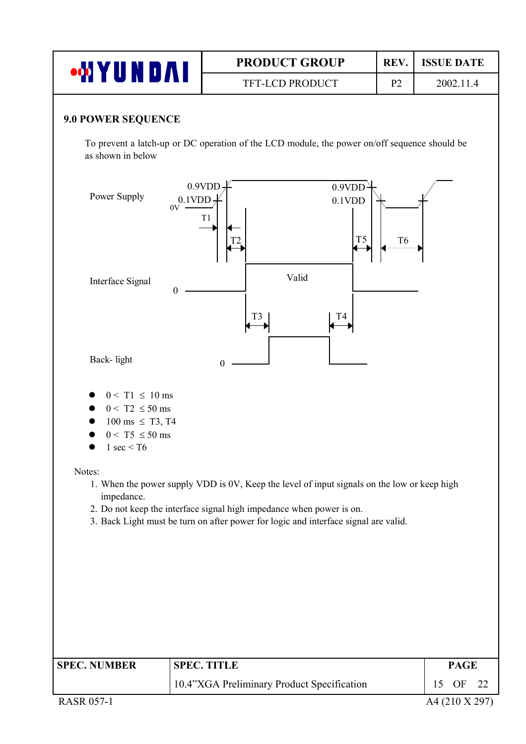| <b>WYUNDAI</b>                                                                                                     |                           | <b>PRODUCT GROUP</b>                                                                                                                                                                                                                                       | REV.           | <b>ISSUE DATE</b>     |
|--------------------------------------------------------------------------------------------------------------------|---------------------------|------------------------------------------------------------------------------------------------------------------------------------------------------------------------------------------------------------------------------------------------------------|----------------|-----------------------|
|                                                                                                                    |                           | TFT-LCD PRODUCT                                                                                                                                                                                                                                            | 2002.11.4      |                       |
| <b>9.0 POWER SEQUENCE</b>                                                                                          |                           |                                                                                                                                                                                                                                                            |                |                       |
| as shown in below                                                                                                  |                           | To prevent a latch-up or DC operation of the LCD module, the power on/off sequence should be                                                                                                                                                               |                |                       |
| Power Supply                                                                                                       | 0.9VDD<br>$0.1$ VDD<br>0V | 0.9VDD<br>0.1VDD<br>T1<br>T <sub>5</sub>                                                                                                                                                                                                                   | T <sub>6</sub> |                       |
| Interface Signal                                                                                                   | $\boldsymbol{0}$          | Valid<br>T <sub>3</sub><br>T4                                                                                                                                                                                                                              |                |                       |
| Back-light                                                                                                         |                           | 0                                                                                                                                                                                                                                                          |                |                       |
| $0 < T1 \le 10$ ms<br>$0 < T2 \le 50$ ms<br>$100 \text{ ms } \leq T3, T4$<br>$0 < T5 \le 50$ ms<br>1 sec $\leq$ T6 |                           |                                                                                                                                                                                                                                                            |                |                       |
| Notes:<br>impedance.                                                                                               |                           | 1. When the power supply VDD is 0V, Keep the level of input signals on the low or keep high<br>2. Do not keep the interface signal high impedance when power is on.<br>3. Back Light must be turn on after power for logic and interface signal are valid. |                |                       |
| <b>SPEC. NUMBER</b>                                                                                                |                           | <b>SPEC. TITLE</b>                                                                                                                                                                                                                                         |                | <b>PAGE</b>           |
|                                                                                                                    |                           | 10.4"XGA Preliminary Product Specification                                                                                                                                                                                                                 |                | 15<br><b>OF</b><br>22 |
| <b>RASR 057-1</b>                                                                                                  |                           |                                                                                                                                                                                                                                                            |                | A4 (210 X 297)        |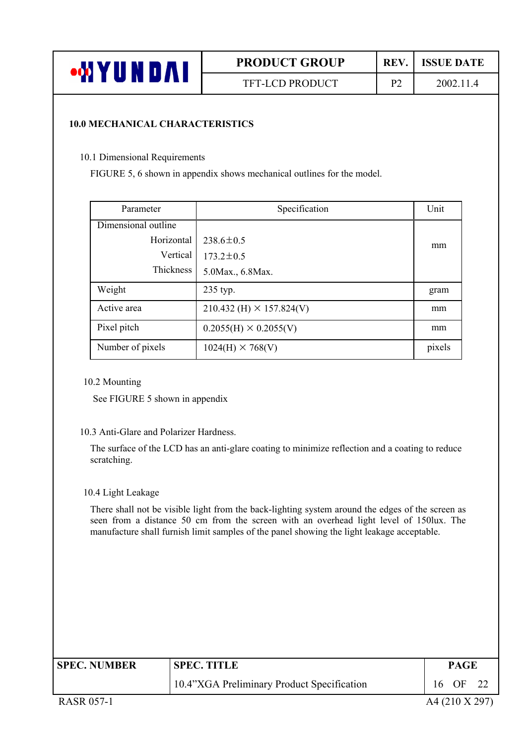

#### **10.0 MECHANICAL CHARACTERISTICS**

10.1 Dimensional Requirements

FIGURE 5, 6 shown in appendix shows mechanical outlines for the model.

| Parameter           | Specification                     | Unit   |  |
|---------------------|-----------------------------------|--------|--|
| Dimensional outline |                                   |        |  |
| Horizontal          | $238.6 \pm 0.5$                   | mm     |  |
| Vertical            | $173.2 \pm 0.5$                   |        |  |
| Thickness           | 5.0 Max., 6.8 Max.                |        |  |
| Weight              | 235 typ.                          | gram   |  |
| Active area         | $210.432$ (H) $\times$ 157.824(V) | mm     |  |
| Pixel pitch         | $0.2055(H) \times 0.2055(V)$      | mm     |  |
| Number of pixels    | $1024(H) \times 768(V)$           | pixels |  |

#### 10.2 Mounting

See FIGURE 5 shown in appendix

#### 10.3 Anti-Glare and Polarizer Hardness.

The surface of the LCD has an anti-glare coating to minimize reflection and a coating to reduce scratching.

#### 10.4 Light Leakage

There shall not be visible light from the back-lighting system around the edges of the screen as seen from a distance 50 cm from the screen with an overhead light level of 150lux. The manufacture shall furnish limit samples of the panel showing the light leakage acceptable.

| <b>SPEC. NUMBER</b> | <b>SPEC. TITLE</b>                         | <b>PAGE</b>    |  |  |  |
|---------------------|--------------------------------------------|----------------|--|--|--|
|                     | 10.4"XGA Preliminary Product Specification | 16 OF 22       |  |  |  |
| <b>RASR 057-1</b>   |                                            | A4 (210 X 297) |  |  |  |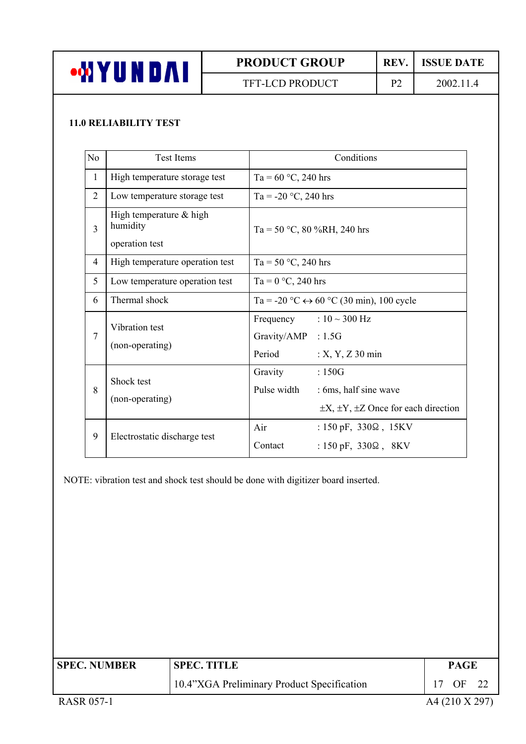

TFT-LCD PRODUCT P2 2002.11.4

### **11.0 RELIABILITY TEST**

| No             | <b>Test Items</b>                                       | Conditions                                                                                                            |
|----------------|---------------------------------------------------------|-----------------------------------------------------------------------------------------------------------------------|
| $\mathbf{1}$   | High temperature storage test                           | Ta = $60 °C$ , 240 hrs                                                                                                |
| $\overline{2}$ | Low temperature storage test                            | Ta = -20 °C, 240 hrs                                                                                                  |
| $\overline{3}$ | High temperature $&$ high<br>humidity<br>operation test | Ta = 50 °C, 80 %RH, 240 hrs                                                                                           |
| $\overline{4}$ | High temperature operation test                         | Ta = 50 $\degree$ C, 240 hrs                                                                                          |
| 5              | Low temperature operation test                          | Ta = $0 °C$ , 240 hrs                                                                                                 |
| 6              | Thermal shock                                           | Ta = -20 °C $\leftrightarrow$ 60 °C (30 min), 100 cycle                                                               |
| $\overline{7}$ | Vibration test<br>(non-operating)                       | Frequency : $10 \sim 300 \text{ Hz}$<br>Gravity/AMP : 1.5G<br>Period<br>$: X, Y, Z$ 30 min                            |
| 8              | Shock test<br>(non-operating)                           | Gravity<br>:150G<br>Pulse width<br>: 6ms, half sine wave<br>$\pm X$ , $\pm Y$ , $\pm Z$ Once for each direction       |
| 9              | Electrostatic discharge test                            | Air<br>: $150 \text{ pF}$ , $330\Omega$ , $15\text{KV}$<br>Contact<br>: $150 \text{ pF}$ , $330\Omega$ , $8\text{KV}$ |

NOTE: vibration test and shock test should be done with digitizer board inserted.

| <b>SPEC. NUMBER</b> | <b>SPEC. TITLE</b>                         | <b>PAGE</b>    |  |  |  |
|---------------------|--------------------------------------------|----------------|--|--|--|
|                     | 10.4"XGA Preliminary Product Specification | 17 OF 22       |  |  |  |
| <b>RASR 057-1</b>   |                                            | A4 (210 X 297) |  |  |  |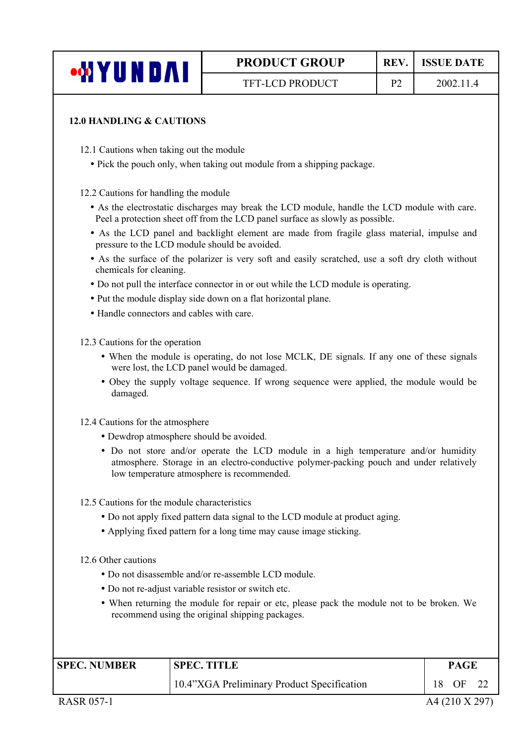#### **12.0 HANDLING & CAUTIONS**

12.1 Cautions when taking out the module

• Pick the pouch only, when taking out module from a shipping package.

12.2 Cautions for handling the module

- As the electrostatic discharges may break the LCD module, handle the LCD module with care. Peel a protection sheet off from the LCD panel surface as slowly as possible.
- As the LCD panel and backlight element are made from fragile glass material, impulse and pressure to the LCD module should be avoided.
- As the surface of the polarizer is very soft and easily scratched, use a soft dry cloth without chemicals for cleaning.
- Do not pull the interface connector in or out while the LCD module is operating.
- Put the module display side down on a flat horizontal plane.
- Handle connectors and cables with care.

12.3 Cautions for the operation

- When the module is operating, do not lose MCLK, DE signals. If any one of these signals were lost, the LCD panel would be damaged.
- Obey the supply voltage sequence. If wrong sequence were applied, the module would be damaged.

12.4 Cautions for the atmosphere

- Dewdrop atmosphere should be avoided.
- y Do not store and/or operate the LCD module in a high temperature and/or humidity atmosphere. Storage in an electro-conductive polymer-packing pouch and under relatively low temperature atmosphere is recommended.
- 12.5 Cautions for the module characteristics
	- Do not apply fixed pattern data signal to the LCD module at product aging.
	- Applying fixed pattern for a long time may cause image sticking.

12.6 Other cautions

- Do not disassemble and/or re-assemble LCD module.
- Do not re-adjust variable resistor or switch etc.
- When returning the module for repair or etc, please pack the module not to be broken. We recommend using the original shipping packages.

| <b>SPEC. NUMBER</b> | <b>SPEC. TITLE</b>                         | PAGE |    |  |  |
|---------------------|--------------------------------------------|------|----|--|--|
|                     | 10.4"XGA Preliminary Product Specification | 18   | OF |  |  |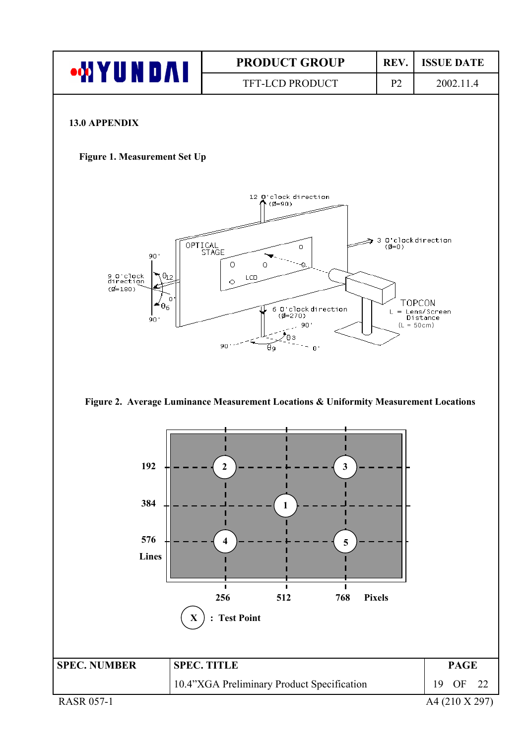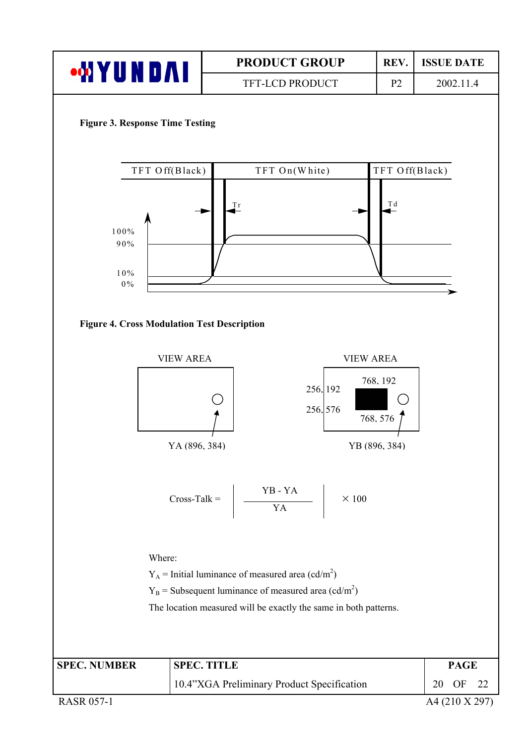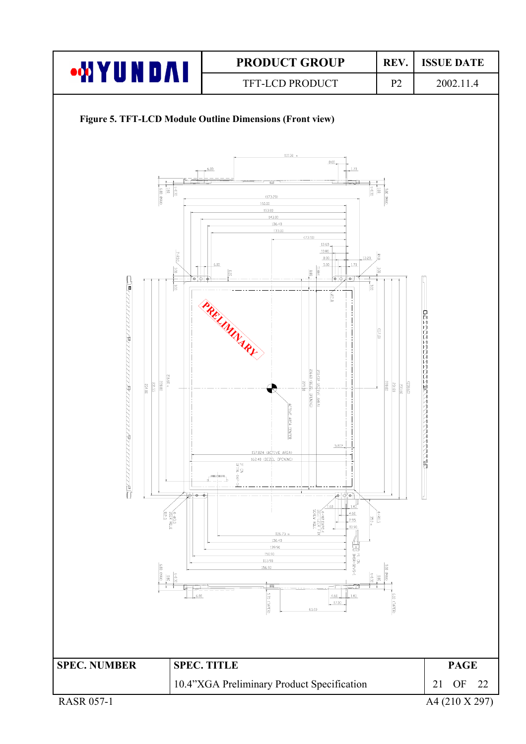